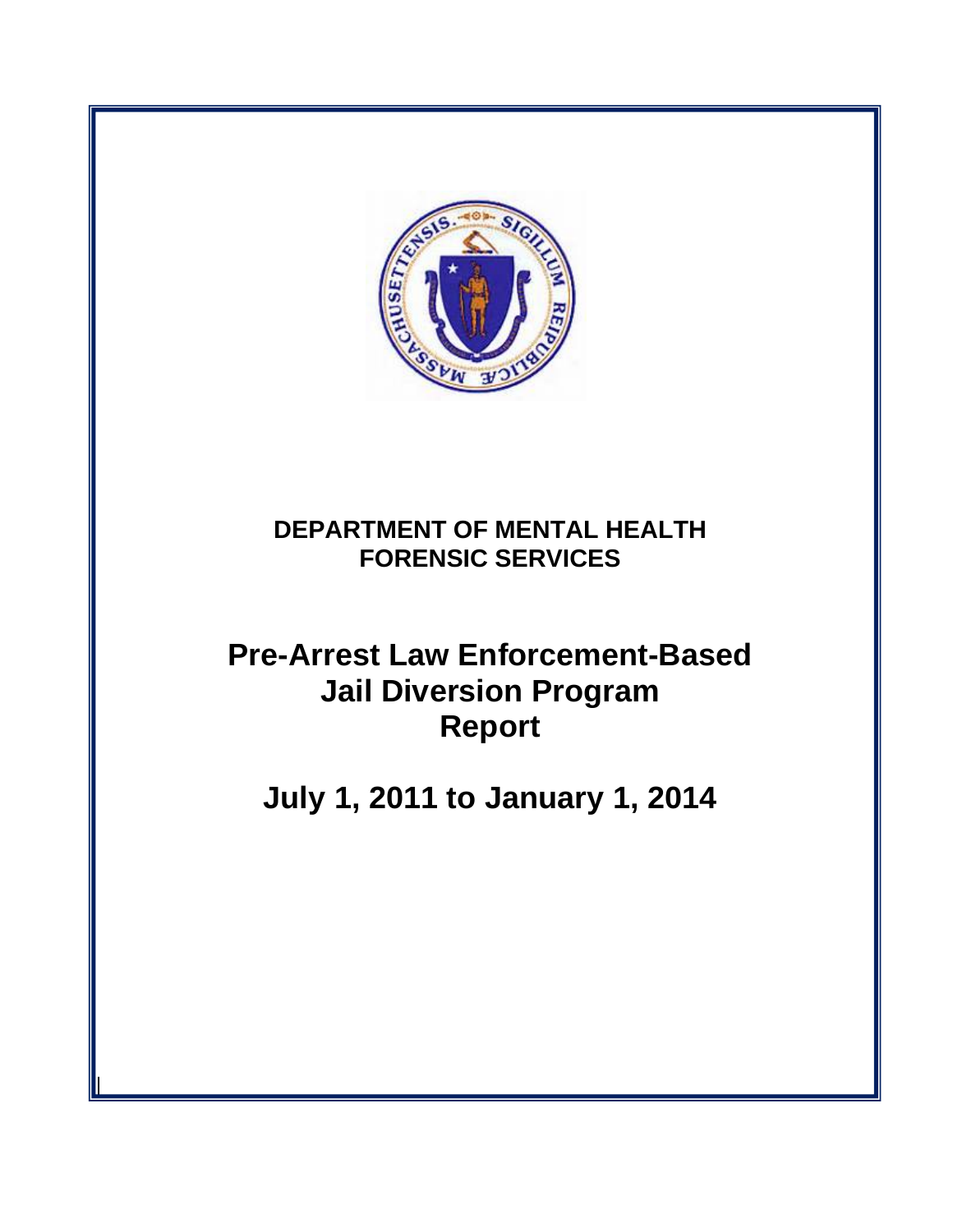

# **DEPARTMENT OF MENTAL HEALTH FORENSIC SERVICES**

# **Pre-Arrest Law Enforcement-Based Jail Diversion Program Report**

**July 1, 2011 to January 1, 2014**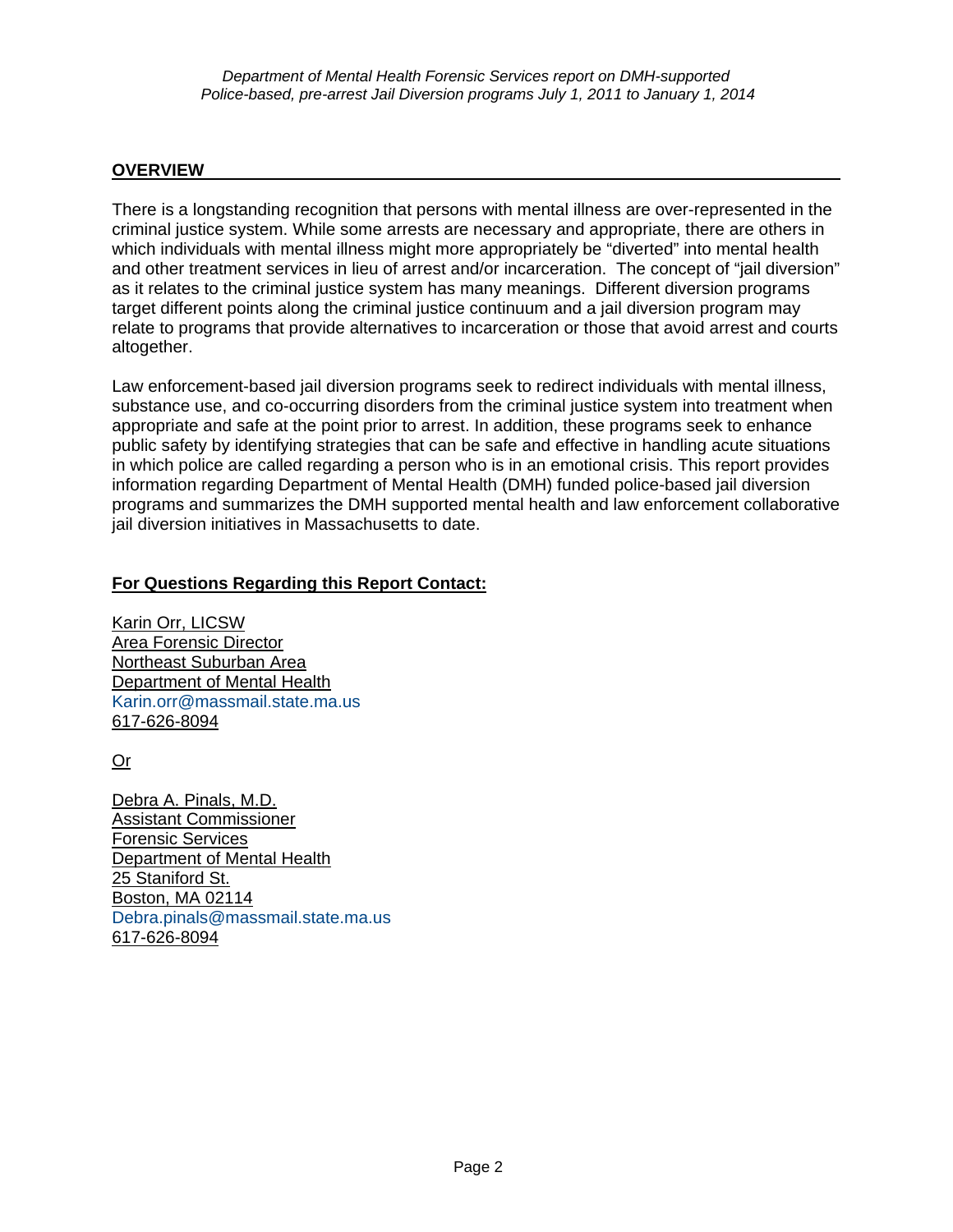#### **OVERVIEW**

There is a longstanding recognition that persons with mental illness are over-represented in the criminal justice system. While some arrests are necessary and appropriate, there are others in which individuals with mental illness might more appropriately be "diverted" into mental health and other treatment services in lieu of arrest and/or incarceration. The concept of "jail diversion" as it relates to the criminal justice system has many meanings. Different diversion programs target different points along the criminal justice continuum and a jail diversion program may relate to programs that provide alternatives to incarceration or those that avoid arrest and courts altogether.

Law enforcement-based jail diversion programs seek to redirect individuals with mental illness, substance use, and co-occurring disorders from the criminal justice system into treatment when appropriate and safe at the point prior to arrest. In addition, these programs seek to enhance public safety by identifying strategies that can be safe and effective in handling acute situations in which police are called regarding a person who is in an emotional crisis. This report provides information regarding Department of Mental Health (DMH) funded police-based jail diversion programs and summarizes the DMH supported mental health and law enforcement collaborative jail diversion initiatives in Massachusetts to date.

#### **For Questions Regarding this Report Contact:**

Karin Orr, LICSW Area Forensic Director Northeast Suburban Area Department of Mental Health [Karin.orr@massmail.state.ma.us](mailto:Karin.orr@massmail.state.ma.us) 617-626-8094

Or

Debra A. Pinals, M.D. Assistant Commissioner Forensic Services Department of Mental Health 25 Staniford St. Boston, MA 02114 [Debra.pinals@massmail.state.ma.us](mailto:Debra.pinals@massmail.state.ma.us) 617-626-8094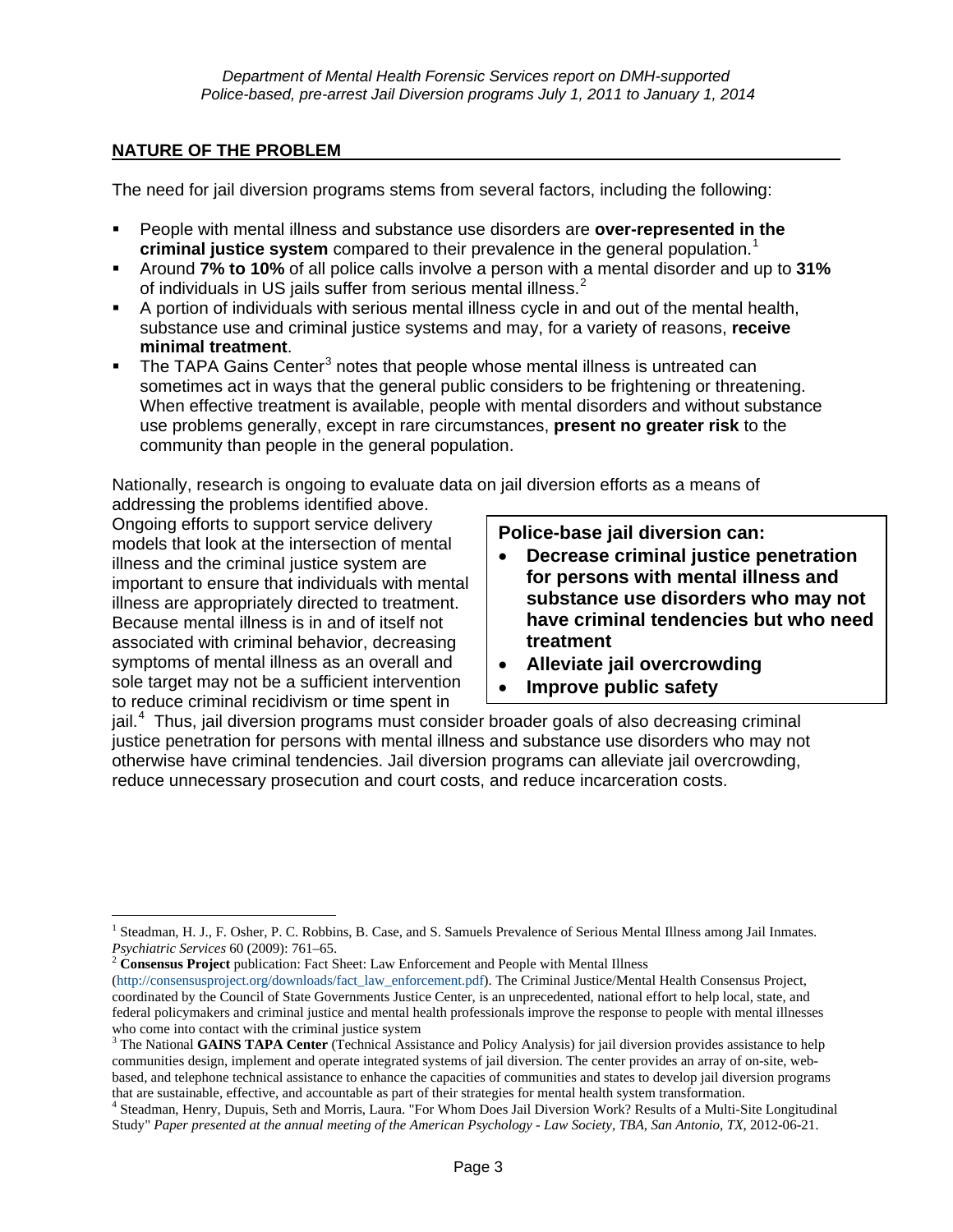#### **NATURE OF THE PROBLEM**

The need for jail diversion programs stems from several factors, including the following:

- People with mental illness and substance use disorders are **over-represented in the criminal justice system** compared to their prevalence in the general population.<sup>[1](#page-20-0)</sup>
- Around **7% to 10%** of all police calls involve a person with a mental disorder and up to **31%** of individuals in US jails suffer from serious mental illness. $2$
- A portion of individuals with serious mental illness cycle in and out of the mental health, substance use and criminal justice systems and may, for a variety of reasons, **receive minimal treatment**.
- $\blacksquare$  The TAPA Gains Center<sup>[3](#page-2-1)</sup> notes that people whose mental illness is untreated can sometimes act in ways that the general public considers to be frightening or threatening. When effective treatment is available, people with mental disorders and without substance use problems generally, except in rare circumstances, **present no greater risk** to the community than people in the general population.

Nationally, research is ongoing to evaluate data on jail diversion efforts as a means of addressing the problems identified above.

Ongoing efforts to support service delivery models that look at the intersection of mental illness and the criminal justice system are important to ensure that individuals with mental illness are appropriately directed to treatment. Because mental illness is in and of itself not associated with criminal behavior, decreasing symptoms of mental illness as an overall and sole target may not be a sufficient intervention to reduce criminal recidivism or time spent in

**Police-base jail diversion can:** 

- **Decrease criminal justice penetration for persons with mental illness and substance use disorders who may not have criminal tendencies but who need treatment**
- **Alleviate jail overcrowding**
- **Improve public safety**

jail.<sup>[4](#page-2-2)</sup> Thus, jail diversion programs must consider broader goals of also decreasing criminal justice penetration for persons with mental illness and substance use disorders who may not otherwise have criminal tendencies. Jail diversion programs can alleviate jail overcrowding, reduce unnecessary prosecution and court costs, and reduce incarceration costs.

 $\overline{a}$ <sup>1</sup> Steadman, H. J., F. Osher, P. C. Robbins, B. Case, and S. Samuels Prevalence of Serious Mental Illness among Jail Inmates.

<span id="page-2-0"></span>*Psychiatric Services* 60 (2009): 761–65. 2 **Consensus Project** publication: Fact Sheet: Law Enforcement and People with Mental Illness (http://consensusproject.org/downloads/fact\_law\_enforcement.pdf). The Criminal Justice/Mental Health Consensus Project, coordinated by the Council of State Governments Justice Center, is an unprecedented, national effort to help local, state, and federal policymakers and criminal justice and mental health professionals improve the response to people with mental illnesses who come into contact with the criminal justice system

<span id="page-2-1"></span><sup>3</sup> The National **GAINS TAPA Center** (Technical Assistance and Policy Analysis) for jail diversion provides assistance to help communities design, implement and operate integrated systems of jail diversion. The center provides an array of on-site, webbased, and telephone technical assistance to enhance the capacities of communities and states to develop jail diversion programs that are sustainable, effective, and accountable as part of their strategies for mental health system transformation. 4

<span id="page-2-3"></span><span id="page-2-2"></span><sup>&</sup>lt;sup>4</sup> Steadman, Henry, Dupuis, Seth and Morris, Laura. "For Whom Does Jail Diversion Work? Results of a Multi-Site Longitudinal Study" *Paper presented at the annual meeting of the American Psychology - Law Society, TBA, San Antonio, TX*, 2012-06-21.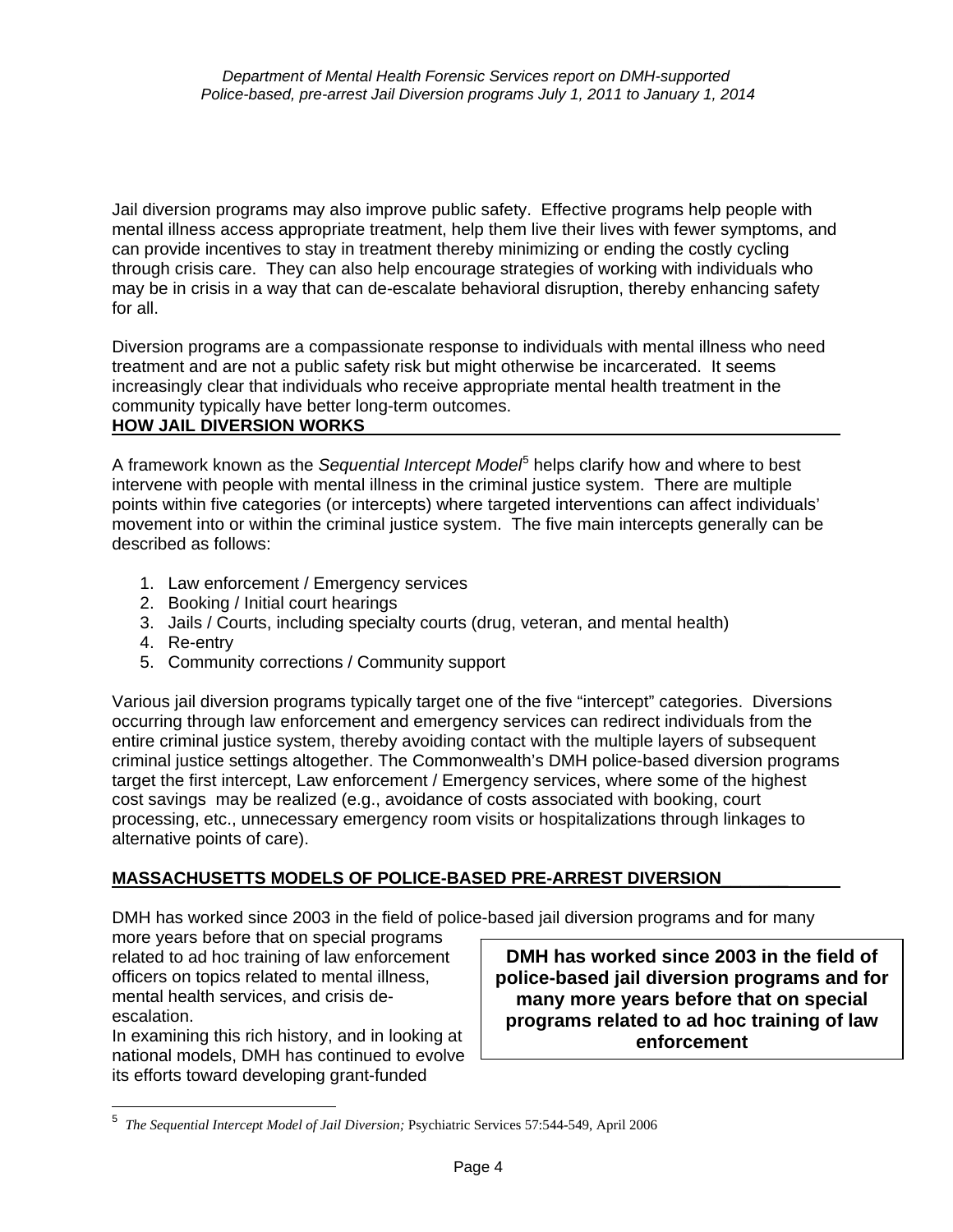Jail diversion programs may also improve public safety. Effective programs help people with mental illness access appropriate treatment, help them live their lives with fewer symptoms, and can provide incentives to stay in treatment thereby minimizing or ending the costly cycling through crisis care. They can also help encourage strategies of working with individuals who may be in crisis in a way that can de-escalate behavioral disruption, thereby enhancing safety for all.

Diversion programs are a compassionate response to individuals with mental illness who need treatment and are not a public safety risk but might otherwise be incarcerated. It seems increasingly clear that individuals who receive appropriate mental health treatment in the community typically have better long-term outcomes. **HOW JAIL DIVERSION WORKS** 

A framework known as the *Sequential Intercept Model*<sup>[5](#page-2-3)</sup> helps clarify how and where to best intervene with people with mental illness in the criminal justice system. There are multiple points within five categories (or intercepts) where targeted interventions can affect individuals' movement into or within the criminal justice system. The five main intercepts generally can be described as follows:

- 1. Law enforcement / Emergency services
- 2. Booking / Initial court hearings
- 3. Jails / Courts, including specialty courts (drug, veteran, and mental health)
- 4. Re-entry
- 5. Community corrections / Community support

Various jail diversion programs typically target one of the five "intercept" categories. Diversions occurring through law enforcement and emergency services can redirect individuals from the entire criminal justice system, thereby avoiding contact with the multiple layers of subsequent criminal justice settings altogether. The Commonwealth's DMH police-based diversion programs target the first intercept, Law enforcement / Emergency services, where some of the highest cost savings may be realized (e.g., avoidance of costs associated with booking, court processing, etc., unnecessary emergency room visits or hospitalizations through linkages to alternative points of care).

## **MASSACHUSETTS MODELS OF POLICE-BASED PRE-ARREST DIVERSION**\_\_\_\_\_\_\_

DMH has worked since 2003 in the field of police-based jail diversion programs and for many

more years before that on special programs related to ad hoc training of law enforcement officers on topics related to mental illness, mental health services, and crisis deescalation.

In examining this rich history, and in looking at national models, DMH has continued to evolve its efforts toward developing grant-funded

**DMH has worked since 2003 in the field of police-based jail diversion programs and for many more years before that on special programs related to ad hoc training of law enforcement**

<span id="page-3-0"></span> 5 *The Sequential Intercept Model of Jail Diversion;* Psychiatric Services 57:544-549, April 2006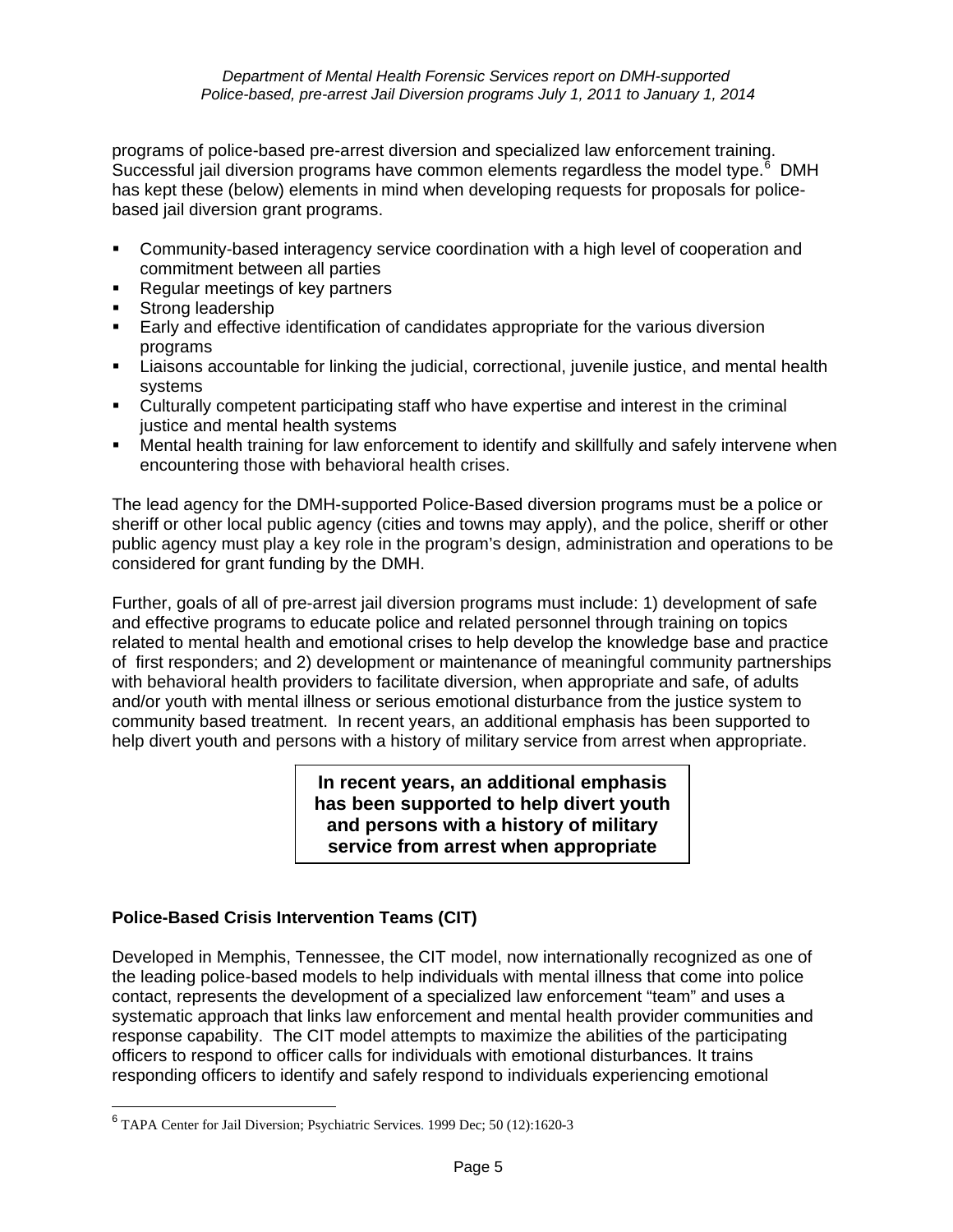programs of police-based pre-arrest diversion and specialized law enforcement training. Successful jail diversion programs have common elements regardless the model type.<sup>[6](#page-3-0)</sup> DMH has kept these (below) elements in mind when developing requests for proposals for policebased jail diversion grant programs.

- **Community-based interagency service coordination with a high level of cooperation and** commitment between all parties
- **Regular meetings of key partners**
- **Strong leadership**
- Early and effective identification of candidates appropriate for the various diversion programs
- Liaisons accountable for linking the judicial, correctional, juvenile justice, and mental health systems
- Culturally competent participating staff who have expertise and interest in the criminal justice and mental health systems
- Mental health training for law enforcement to identify and skillfully and safely intervene when encountering those with behavioral health crises.

The lead agency for the DMH-supported Police-Based diversion programs must be a police or sheriff or other local public agency (cities and towns may apply), and the police, sheriff or other public agency must play a key role in the program's design, administration and operations to be considered for grant funding by the DMH.

Further, goals of all of pre-arrest jail diversion programs must include: 1) development of safe and effective programs to educate police and related personnel through training on topics related to mental health and emotional crises to help develop the knowledge base and practice of first responders; and 2) development or maintenance of meaningful community partnerships with behavioral health providers to facilitate diversion, when appropriate and safe, of adults and/or youth with mental illness or serious emotional disturbance from the justice system to community based treatment. In recent years, an additional emphasis has been supported to help divert youth and persons with a history of military service from arrest when appropriate.

> **In recent years, an additional emphasis has been supported to help divert youth and persons with a history of military service from arrest when appropriate**

## **Police-Based Crisis Intervention Teams (CIT)**

Developed in Memphis, Tennessee, the CIT model, now internationally recognized as one of the leading police-based models to help individuals with mental illness that come into police contact, represents the development of a specialized law enforcement "team" and uses a systematic approach that links law enforcement and mental health provider communities and response capability. The CIT model attempts to maximize the abilities of the participating officers to respond to officer calls for individuals with emotional disturbances. It trains responding officers to identify and safely respond to individuals experiencing emotional

<span id="page-4-0"></span> 6 TAPA Center for Jail Diversion; Psychiatric Services. 1999 Dec; 50 (12):1620-3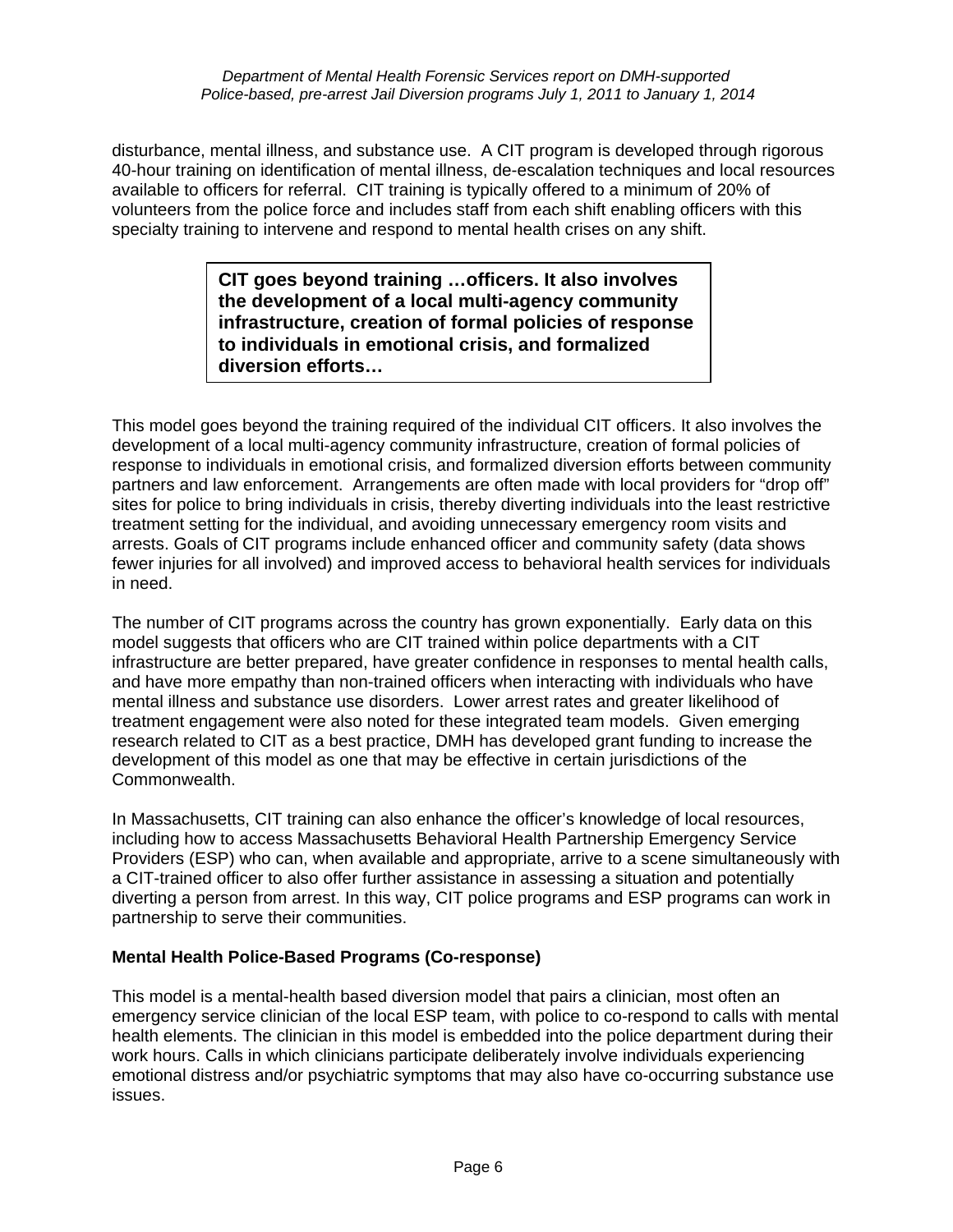disturbance, mental illness, and substance use. A CIT program is developed through rigorous 40-hour training on identification of mental illness, de-escalation techniques and local resources available to officers for referral. CIT training is typically offered to a minimum of 20% of volunteers from the police force and includes staff from each shift enabling officers with this specialty training to intervene and respond to mental health crises on any shift.

> **CIT goes beyond training …officers. It also involves the development of a local multi-agency community infrastructure, creation of formal policies of response to individuals in emotional crisis, and formalized diversion efforts…**

This model goes beyond the training required of the individual CIT officers. It also involves the development of a local multi-agency community infrastructure, creation of formal policies of response to individuals in emotional crisis, and formalized diversion efforts between community partners and law enforcement. Arrangements are often made with local providers for "drop off" sites for police to bring individuals in crisis, thereby diverting individuals into the least restrictive treatment setting for the individual, and avoiding unnecessary emergency room visits and arrests. Goals of CIT programs include enhanced officer and community safety (data shows fewer injuries for all involved) and improved access to behavioral health services for individuals in need.

The number of CIT programs across the country has grown exponentially. Early data on this model suggests that officers who are CIT trained within police departments with a CIT infrastructure are better prepared, have greater confidence in responses to mental health calls, and have more empathy than non-trained officers when interacting with individuals who have mental illness and substance use disorders. Lower arrest rates and greater likelihood of treatment engagement were also noted for these integrated team models. Given emerging research related to CIT as a best practice, DMH has developed grant funding to increase the development of this model as one that may be effective in certain jurisdictions of the Commonwealth.

In Massachusetts, CIT training can also enhance the officer's knowledge of local resources, including how to access Massachusetts Behavioral Health Partnership Emergency Service Providers (ESP) who can, when available and appropriate, arrive to a scene simultaneously with a CIT-trained officer to also offer further assistance in assessing a situation and potentially diverting a person from arrest. In this way, CIT police programs and ESP programs can work in partnership to serve their communities.

#### **Mental Health Police-Based Programs (Co-response)**

This model is a mental-health based diversion model that pairs a clinician, most often an emergency service clinician of the local ESP team, with police to co-respond to calls with mental health elements. The clinician in this model is embedded into the police department during their work hours. Calls in which clinicians participate deliberately involve individuals experiencing emotional distress and/or psychiatric symptoms that may also have co-occurring substance use issues.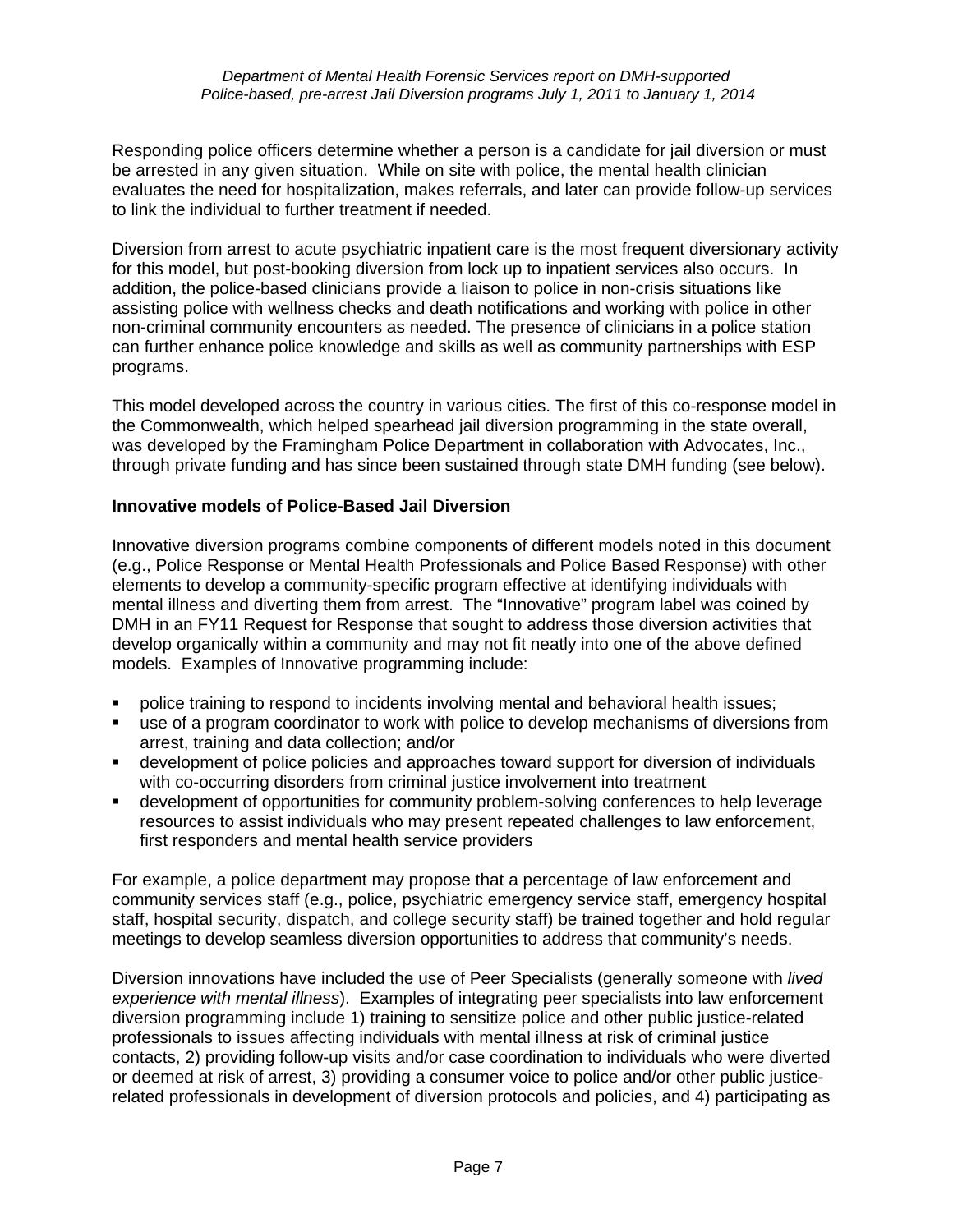Responding police officers determine whether a person is a candidate for jail diversion or must be arrested in any given situation. While on site with police, the mental health clinician evaluates the need for hospitalization, makes referrals, and later can provide follow-up services to link the individual to further treatment if needed.

Diversion from arrest to acute psychiatric inpatient care is the most frequent diversionary activity for this model, but post-booking diversion from lock up to inpatient services also occurs. In addition, the police-based clinicians provide a liaison to police in non-crisis situations like assisting police with wellness checks and death notifications and working with police in other non-criminal community encounters as needed. The presence of clinicians in a police station can further enhance police knowledge and skills as well as community partnerships with ESP programs.

This model developed across the country in various cities. The first of this co-response model in the Commonwealth, which helped spearhead jail diversion programming in the state overall, was developed by the Framingham Police Department in collaboration with Advocates, Inc., through private funding and has since been sustained through state DMH funding (see below).

#### **Innovative models of Police-Based Jail Diversion**

Innovative diversion programs combine components of different models noted in this document (e.g., Police Response or Mental Health Professionals and Police Based Response) with other elements to develop a community-specific program effective at identifying individuals with mental illness and diverting them from arrest. The "Innovative" program label was coined by DMH in an FY11 Request for Response that sought to address those diversion activities that develop organically within a community and may not fit neatly into one of the above defined models. Examples of Innovative programming include:

- police training to respond to incidents involving mental and behavioral health issues;
- use of a program coordinator to work with police to develop mechanisms of diversions from arrest, training and data collection; and/or
- **•** development of police policies and approaches toward support for diversion of individuals with co-occurring disorders from criminal justice involvement into treatment
- development of opportunities for community problem-solving conferences to help leverage resources to assist individuals who may present repeated challenges to law enforcement, first responders and mental health service providers

For example, a police department may propose that a percentage of law enforcement and community services staff (e.g., police, psychiatric emergency service staff, emergency hospital staff, hospital security, dispatch, and college security staff) be trained together and hold regular meetings to develop seamless diversion opportunities to address that community's needs.

Diversion innovations have included the use of Peer Specialists (generally someone with *lived experience with mental illness*). Examples of integrating peer specialists into law enforcement diversion programming include 1) training to sensitize police and other public justice-related professionals to issues affecting individuals with mental illness at risk of criminal justice contacts, 2) providing follow-up visits and/or case coordination to individuals who were diverted or deemed at risk of arrest, 3) providing a consumer voice to police and/or other public justicerelated professionals in development of diversion protocols and policies, and 4) participating as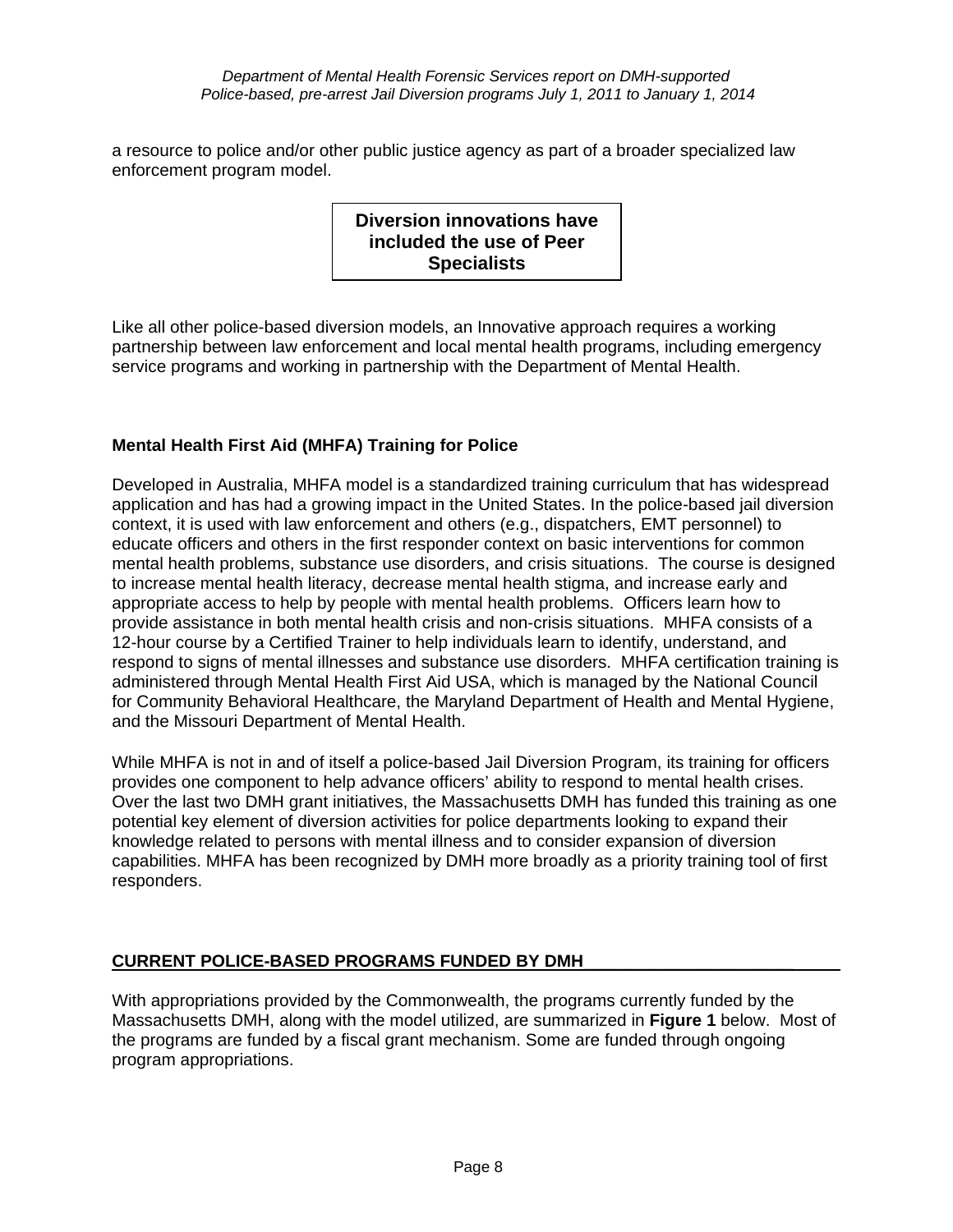a resource to police and/or other public justice agency as part of a broader specialized law enforcement program model.

> **Diversion innovations have included the use of Peer Specialists**

Like all other police-based diversion models, an Innovative approach requires a working partnership between law enforcement and local mental health programs, including emergency service programs and working in partnership with the Department of Mental Health.

## **Mental Health First Aid (MHFA) Training for Police**

Developed in Australia, MHFA model is a standardized training curriculum that has widespread application and has had a growing impact in the United States. In the police-based jail diversion context, it is used with law enforcement and others (e.g., dispatchers, EMT personnel) to educate officers and others in the first responder context on basic interventions for common mental health problems, substance use disorders, and crisis situations. The course is designed to increase mental health literacy, decrease mental health stigma, and increase early and appropriate access to help by people with mental health problems. Officers learn how to provide assistance in both mental health crisis and non-crisis situations. MHFA consists of a 12-hour course by a Certified Trainer to help individuals learn to identify, understand, and respond to signs of mental illnesses and substance use disorders. MHFA certification training is administered through Mental Health First Aid USA, which is managed by the National Council for Community Behavioral Healthcare, the Maryland Department of Health and Mental Hygiene, and the Missouri Department of Mental Health.

While MHFA is not in and of itself a police-based Jail Diversion Program, its training for officers provides one component to help advance officers' ability to respond to mental health crises. Over the last two DMH grant initiatives, the Massachusetts DMH has funded this training as one potential key element of diversion activities for police departments looking to expand their knowledge related to persons with mental illness and to consider expansion of diversion capabilities. MHFA has been recognized by DMH more broadly as a priority training tool of first responders.

## **CURRENT POLICE-BASED PROGRAMS FUNDED BY DMH**\_\_\_\_\_\_\_\_\_\_\_\_\_\_\_\_\_\_\_\_\_\_

With appropriations provided by the Commonwealth, the programs currently funded by the Massachusetts DMH, along with the model utilized, are summarized in **Figure 1** below. Most of the programs are funded by a fiscal grant mechanism. Some are funded through ongoing program appropriations.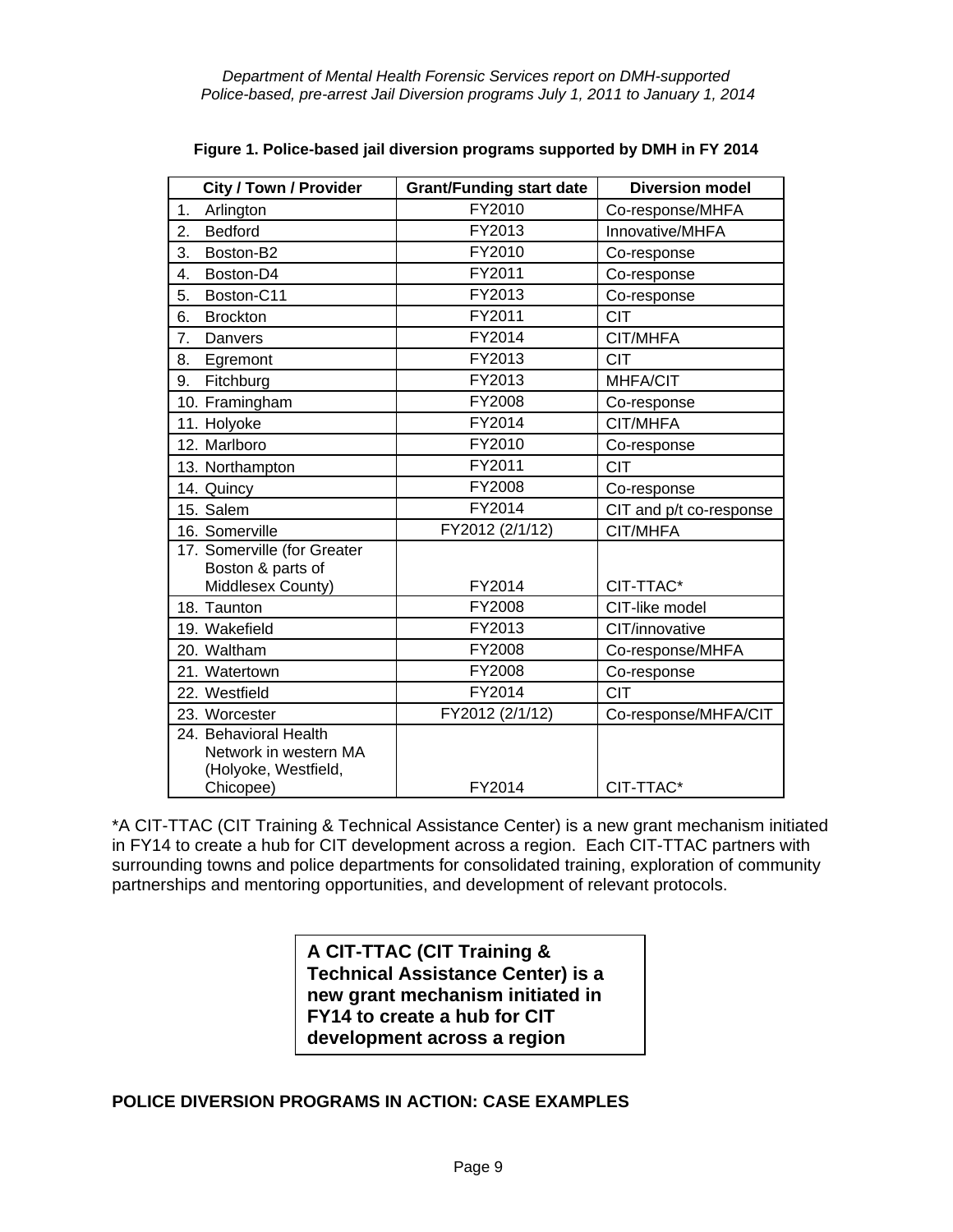| <b>City / Town / Provider</b>                                                       | <b>Grant/Funding start date</b> | <b>Diversion model</b>  |  |
|-------------------------------------------------------------------------------------|---------------------------------|-------------------------|--|
| Arlington<br>1.                                                                     | FY2010<br>Co-response/MHFA      |                         |  |
| 2.<br><b>Bedford</b>                                                                | FY2013                          | Innovative/MHFA         |  |
| 3.<br>Boston-B2                                                                     | FY2010                          | Co-response             |  |
| Boston-D4<br>4.                                                                     | FY2011                          | Co-response             |  |
| Boston-C11<br>5.                                                                    | FY2013                          | Co-response             |  |
| 6.<br><b>Brockton</b>                                                               | FY2011                          | <b>CIT</b>              |  |
| 7.<br>Danvers                                                                       | FY2014                          | CIT/MHFA                |  |
| 8.<br>Egremont                                                                      | FY2013                          | <b>CIT</b>              |  |
| 9.<br>Fitchburg                                                                     | FY2013                          | MHFA/CIT                |  |
| 10. Framingham                                                                      | FY2008                          | Co-response             |  |
| 11. Holyoke                                                                         | FY2014                          | CIT/MHFA                |  |
| 12. Marlboro                                                                        | FY2010                          | Co-response             |  |
| 13. Northampton                                                                     | FY2011                          | <b>CIT</b>              |  |
| 14. Quincy                                                                          | FY2008                          | Co-response             |  |
| 15. Salem                                                                           | FY2014                          | CIT and p/t co-response |  |
| 16. Somerville                                                                      | FY2012 (2/1/12)                 | CIT/MHFA                |  |
| 17. Somerville (for Greater<br>Boston & parts of<br>Middlesex County)               | FY2014                          | CIT-TTAC*               |  |
| 18. Taunton                                                                         | FY2008                          | CIT-like model          |  |
| 19. Wakefield                                                                       | FY2013<br>CIT/innovative        |                         |  |
| 20. Waltham                                                                         | FY2008                          | Co-response/MHFA        |  |
| 21. Watertown                                                                       | FY2008                          | Co-response             |  |
| 22. Westfield                                                                       | FY2014                          | <b>CIT</b>              |  |
| 23. Worcester                                                                       | FY2012 (2/1/12)                 | Co-response/MHFA/CIT    |  |
| 24. Behavioral Health<br>Network in western MA<br>(Holyoke, Westfield,<br>Chicopee) | FY2014                          | CIT-TTAC*               |  |
|                                                                                     |                                 |                         |  |

**Figure 1. Police-based jail diversion programs supported by DMH in FY 2014** 

\*A CIT-TTAC (CIT Training & Technical Assistance Center) is a new grant mechanism initiated in FY14 to create a hub for CIT development across a region. Each CIT-TTAC partners with surrounding towns and police departments for consolidated training, exploration of community partnerships and mentoring opportunities, and development of relevant protocols.

> **A CIT-TTAC (CIT Training & Technical Assistance Center) is a new grant mechanism initiated in FY14 to create a hub for CIT development across a region**

#### **POLICE DIVERSION PROGRAMS IN ACTION: CASE EXAMPLES**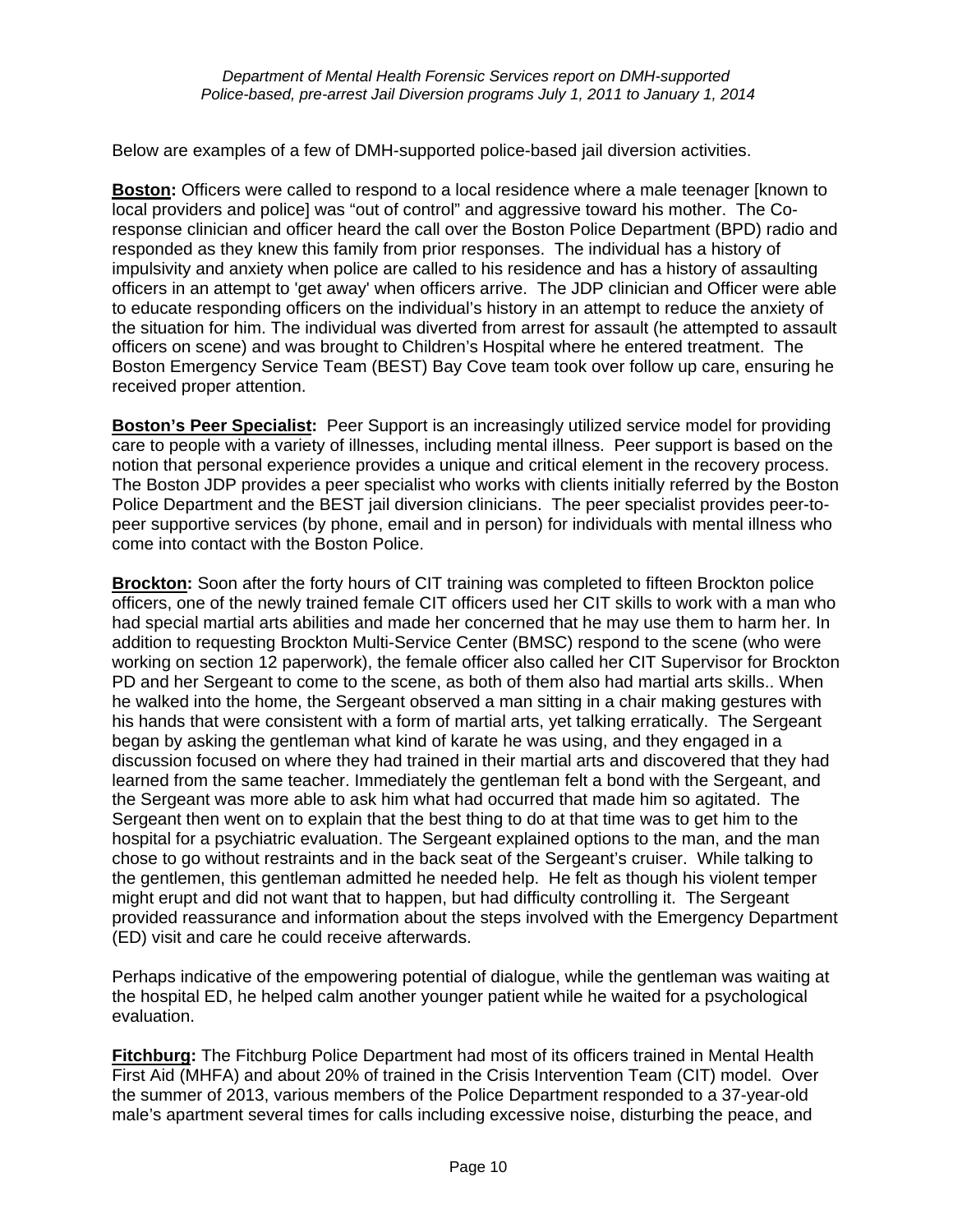Below are examples of a few of DMH-supported police-based jail diversion activities.

**Boston:** Officers were called to respond to a local residence where a male teenager [known to local providers and police] was "out of control" and aggressive toward his mother. The Coresponse clinician and officer heard the call over the Boston Police Department (BPD) radio and responded as they knew this family from prior responses. The individual has a history of impulsivity and anxiety when police are called to his residence and has a history of assaulting officers in an attempt to 'get away' when officers arrive. The JDP clinician and Officer were able to educate responding officers on the individual's history in an attempt to reduce the anxiety of the situation for him. The individual was diverted from arrest for assault (he attempted to assault officers on scene) and was brought to Children's Hospital where he entered treatment. The Boston Emergency Service Team (BEST) Bay Cove team took over follow up care, ensuring he received proper attention.

**Boston's Peer Specialist:** Peer Support is an increasingly utilized service model for providing care to people with a variety of illnesses, including mental illness. Peer support is based on the notion that personal experience provides a unique and critical element in the recovery process. The Boston JDP provides a peer specialist who works with clients initially referred by the Boston Police Department and the BEST jail diversion clinicians. The peer specialist provides peer-topeer supportive services (by phone, email and in person) for individuals with mental illness who come into contact with the Boston Police.

**Brockton:** Soon after the forty hours of CIT training was completed to fifteen Brockton police officers, one of the newly trained female CIT officers used her CIT skills to work with a man who had special martial arts abilities and made her concerned that he may use them to harm her. In addition to requesting Brockton Multi-Service Center (BMSC) respond to the scene (who were working on section 12 paperwork), the female officer also called her CIT Supervisor for Brockton PD and her Sergeant to come to the scene, as both of them also had martial arts skills.. When he walked into the home, the Sergeant observed a man sitting in a chair making gestures with his hands that were consistent with a form of martial arts, yet talking erratically. The Sergeant began by asking the gentleman what kind of karate he was using, and they engaged in a discussion focused on where they had trained in their martial arts and discovered that they had learned from the same teacher. Immediately the gentleman felt a bond with the Sergeant, and the Sergeant was more able to ask him what had occurred that made him so agitated. The Sergeant then went on to explain that the best thing to do at that time was to get him to the hospital for a psychiatric evaluation. The Sergeant explained options to the man, and the man chose to go without restraints and in the back seat of the Sergeant's cruiser. While talking to the gentlemen, this gentleman admitted he needed help. He felt as though his violent temper might erupt and did not want that to happen, but had difficulty controlling it. The Sergeant provided reassurance and information about the steps involved with the Emergency Department (ED) visit and care he could receive afterwards.

Perhaps indicative of the empowering potential of dialogue, while the gentleman was waiting at the hospital ED, he helped calm another younger patient while he waited for a psychological evaluation.

**Fitchburg:** The Fitchburg Police Department had most of its officers trained in Mental Health First Aid (MHFA) and about 20% of trained in the Crisis Intervention Team (CIT) model. Over the summer of 2013, various members of the Police Department responded to a 37-year-old male's apartment several times for calls including excessive noise, disturbing the peace, and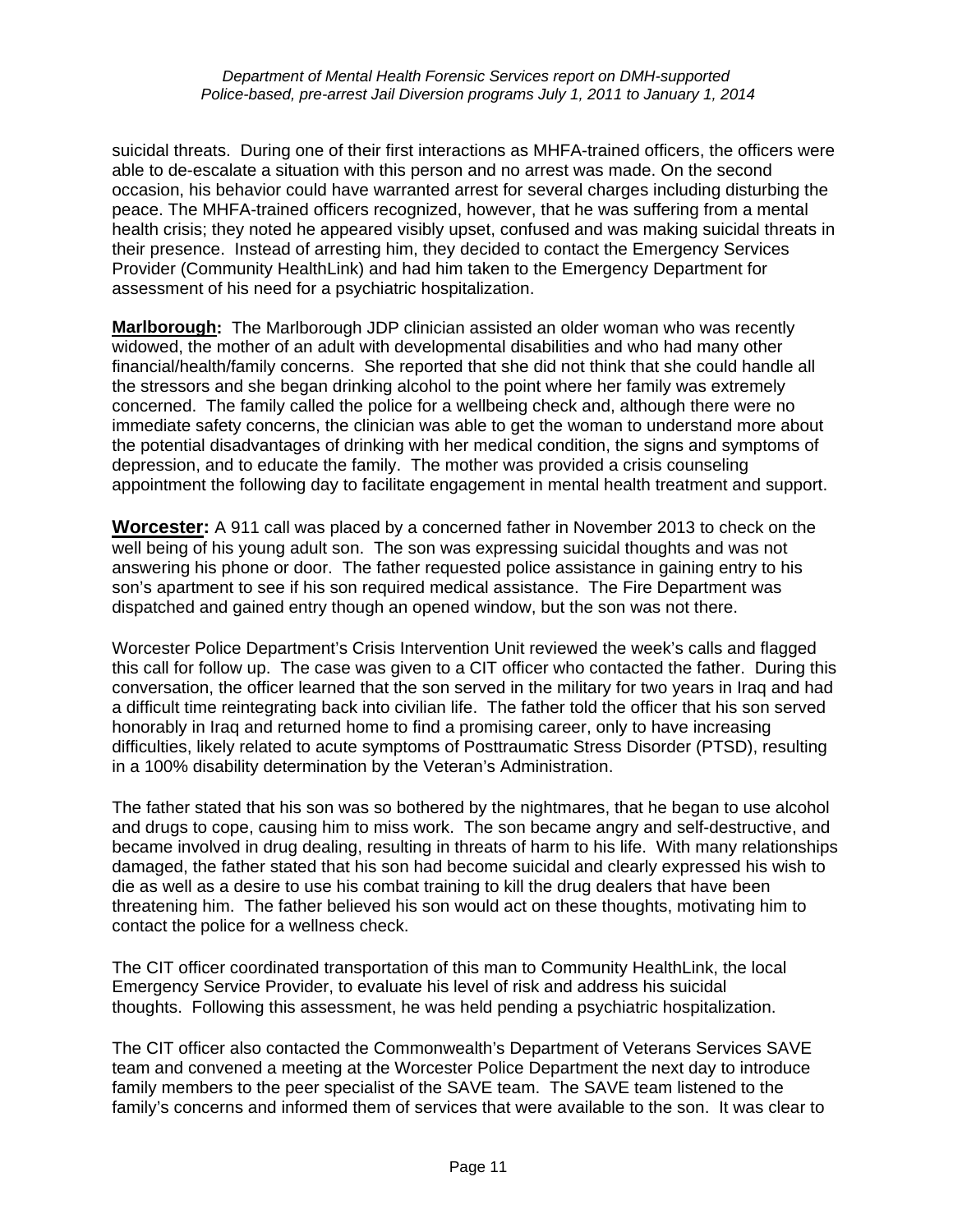suicidal threats. During one of their first interactions as MHFA-trained officers, the officers were able to de-escalate a situation with this person and no arrest was made. On the second occasion, his behavior could have warranted arrest for several charges including disturbing the peace. The MHFA-trained officers recognized, however, that he was suffering from a mental health crisis; they noted he appeared visibly upset, confused and was making suicidal threats in their presence. Instead of arresting him, they decided to contact the Emergency Services Provider (Community HealthLink) and had him taken to the Emergency Department for assessment of his need for a psychiatric hospitalization.

**Marlborough:** The Marlborough JDP clinician assisted an older woman who was recently widowed, the mother of an adult with developmental disabilities and who had many other financial/health/family concerns. She reported that she did not think that she could handle all the stressors and she began drinking alcohol to the point where her family was extremely concerned. The family called the police for a wellbeing check and, although there were no immediate safety concerns, the clinician was able to get the woman to understand more about the potential disadvantages of drinking with her medical condition, the signs and symptoms of depression, and to educate the family. The mother was provided a crisis counseling appointment the following day to facilitate engagement in mental health treatment and support.

**Worcester:** A 911 call was placed by a concerned father in November 2013 to check on the well being of his young adult son. The son was expressing suicidal thoughts and was not answering his phone or door. The father requested police assistance in gaining entry to his son's apartment to see if his son required medical assistance. The Fire Department was dispatched and gained entry though an opened window, but the son was not there.

Worcester Police Department's Crisis Intervention Unit reviewed the week's calls and flagged this call for follow up. The case was given to a CIT officer who contacted the father. During this conversation, the officer learned that the son served in the military for two years in Iraq and had a difficult time reintegrating back into civilian life. The father told the officer that his son served honorably in Iraq and returned home to find a promising career, only to have increasing difficulties, likely related to acute symptoms of Posttraumatic Stress Disorder (PTSD), resulting in a 100% disability determination by the Veteran's Administration.

The father stated that his son was so bothered by the nightmares, that he began to use alcohol and drugs to cope, causing him to miss work. The son became angry and self-destructive, and became involved in drug dealing, resulting in threats of harm to his life. With many relationships damaged, the father stated that his son had become suicidal and clearly expressed his wish to die as well as a desire to use his combat training to kill the drug dealers that have been threatening him. The father believed his son would act on these thoughts, motivating him to contact the police for a wellness check.

The CIT officer coordinated transportation of this man to Community HealthLink, the local Emergency Service Provider, to evaluate his level of risk and address his suicidal thoughts. Following this assessment, he was held pending a psychiatric hospitalization.

The CIT officer also contacted the Commonwealth's Department of Veterans Services SAVE team and convened a meeting at the Worcester Police Department the next day to introduce family members to the peer specialist of the SAVE team. The SAVE team listened to the family's concerns and informed them of services that were available to the son. It was clear to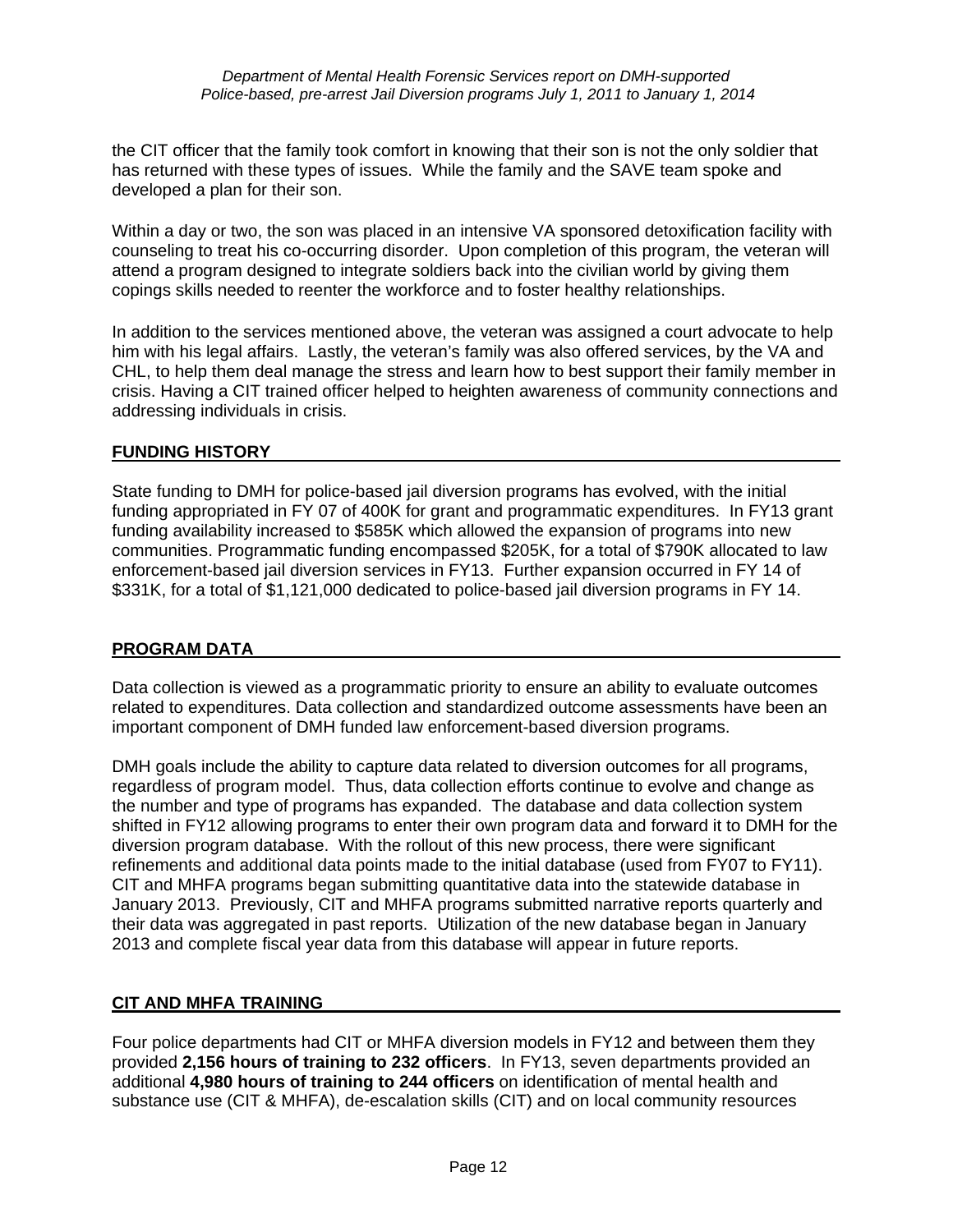the CIT officer that the family took comfort in knowing that their son is not the only soldier that has returned with these types of issues. While the family and the SAVE team spoke and developed a plan for their son.

Within a day or two, the son was placed in an intensive VA sponsored detoxification facility with counseling to treat his co-occurring disorder. Upon completion of this program, the veteran will attend a program designed to integrate soldiers back into the civilian world by giving them copings skills needed to reenter the workforce and to foster healthy relationships.

In addition to the services mentioned above, the veteran was assigned a court advocate to help him with his legal affairs. Lastly, the veteran's family was also offered services, by the VA and CHL, to help them deal manage the stress and learn how to best support their family member in crisis. Having a CIT trained officer helped to heighten awareness of community connections and addressing individuals in crisis.

#### **FUNDING HISTORY**

State funding to DMH for police-based jail diversion programs has evolved, with the initial funding appropriated in FY 07 of 400K for grant and programmatic expenditures. In FY13 grant funding availability increased to \$585K which allowed the expansion of programs into new communities. Programmatic funding encompassed \$205K, for a total of \$790K allocated to law enforcement-based jail diversion services in FY13. Further expansion occurred in FY 14 of \$331K, for a total of \$1,121,000 dedicated to police-based jail diversion programs in FY 14.

#### **PROGRAM DATA**

Data collection is viewed as a programmatic priority to ensure an ability to evaluate outcomes related to expenditures. Data collection and standardized outcome assessments have been an important component of DMH funded law enforcement-based diversion programs.

DMH goals include the ability to capture data related to diversion outcomes for all programs, regardless of program model. Thus, data collection efforts continue to evolve and change as the number and type of programs has expanded. The database and data collection system shifted in FY12 allowing programs to enter their own program data and forward it to DMH for the diversion program database. With the rollout of this new process, there were significant refinements and additional data points made to the initial database (used from FY07 to FY11). CIT and MHFA programs began submitting quantitative data into the statewide database in January 2013. Previously, CIT and MHFA programs submitted narrative reports quarterly and their data was aggregated in past reports. Utilization of the new database began in January 2013 and complete fiscal year data from this database will appear in future reports.

#### **CIT AND MHFA TRAINING**

Four police departments had CIT or MHFA diversion models in FY12 and between them they provided **2,156 hours of training to 232 officers**. In FY13, seven departments provided an additional **4,980 hours of training to 244 officers** on identification of mental health and substance use (CIT & MHFA), de-escalation skills (CIT) and on local community resources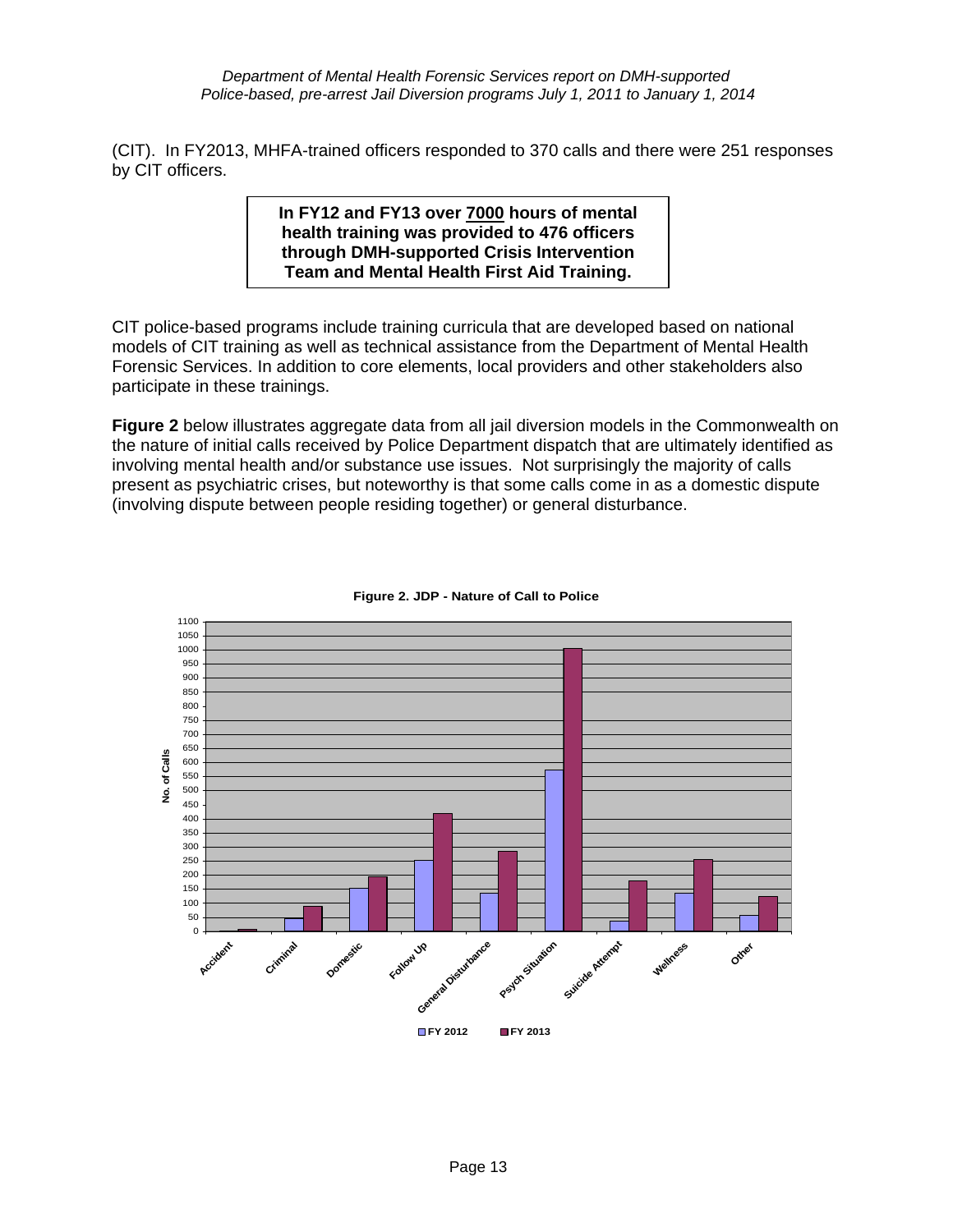*Department of Mental Health Forensic Services report on DMH-supported Police-based, pre-arrest Jail Diversion programs July 1, 2011 to January 1, 2014*

(CIT). In FY2013, MHFA-trained officers responded to 370 calls and there were 251 responses by CIT officers.

> **In FY12 and FY13 over 7000 hours of mental health training was provided to 476 officers through DMH-supported Crisis Intervention Team and Mental Health First Aid Training.**

CIT police-based programs include training curricula that are developed based on national models of CIT training as well as technical assistance from the Department of Mental Health Forensic Services. In addition to core elements, local providers and other stakeholders also participate in these trainings.

**Figure 2** below illustrates aggregate data from all jail diversion models in the Commonwealth on the nature of initial calls received by Police Department dispatch that are ultimately identified as involving mental health and/or substance use issues. Not surprisingly the majority of calls present as psychiatric crises, but noteworthy is that some calls come in as a domestic dispute (involving dispute between people residing together) or general disturbance.



**Figure 2. JDP - Nature of Call to Police**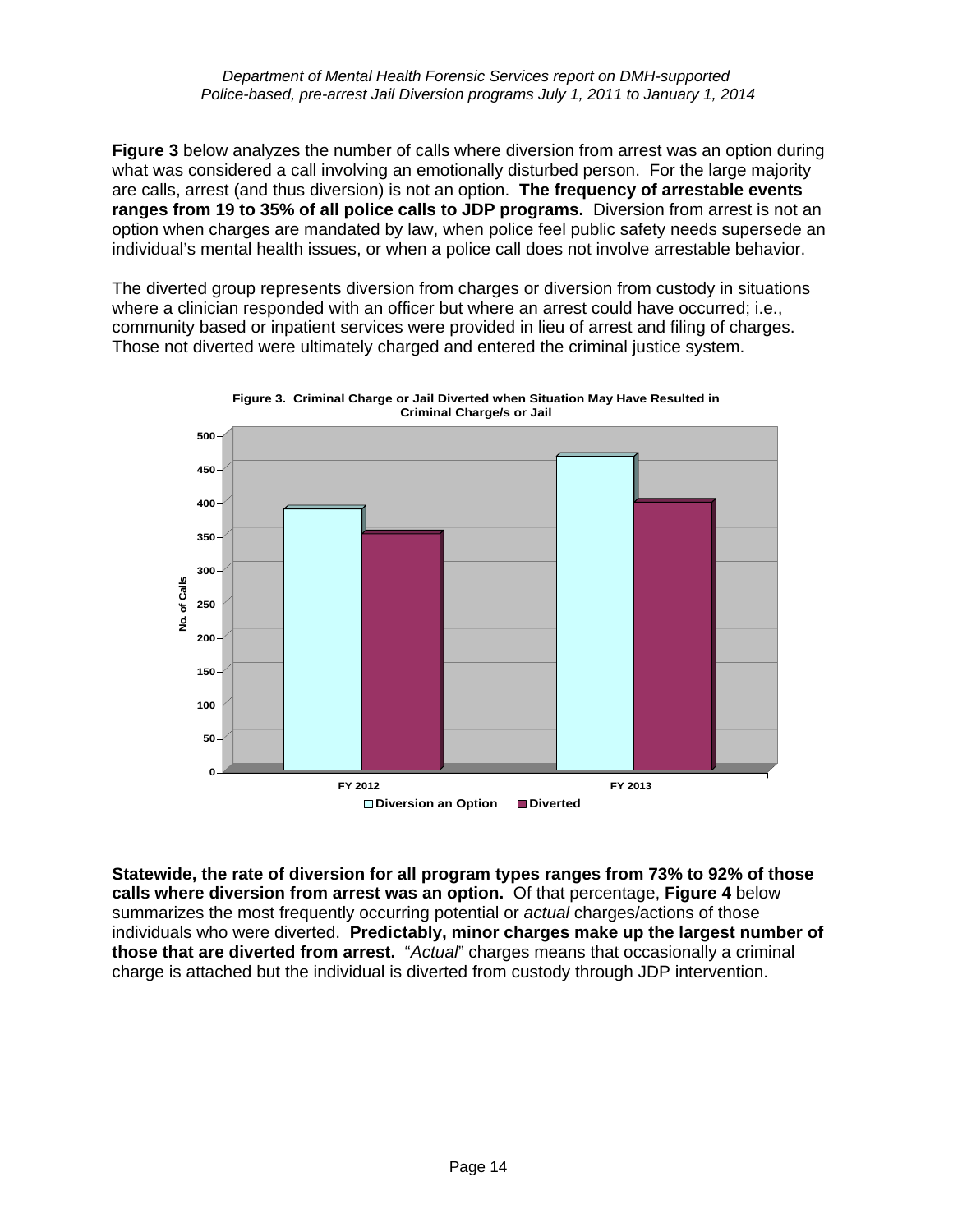**Figure 3** below analyzes the number of calls where diversion from arrest was an option during what was considered a call involving an emotionally disturbed person. For the large majority are calls, arrest (and thus diversion) is not an option. **The frequency of arrestable events ranges from 19 to 35% of all police calls to JDP programs.** Diversion from arrest is not an option when charges are mandated by law, when police feel public safety needs supersede an individual's mental health issues, or when a police call does not involve arrestable behavior.

The diverted group represents diversion from charges or diversion from custody in situations where a clinician responded with an officer but where an arrest could have occurred; i.e., community based or inpatient services were provided in lieu of arrest and filing of charges. Those not diverted were ultimately charged and entered the criminal justice system.





**Statewide, the rate of diversion for all program types ranges from 73% to 92% of those calls where diversion from arrest was an option.** Of that percentage, **Figure 4** below summarizes the most frequently occurring potential or *actual* charges/actions of those individuals who were diverted. **Predictably, minor charges make up the largest number of those that are diverted from arrest.** "*Actual*" charges means that occasionally a criminal charge is attached but the individual is diverted from custody through JDP intervention.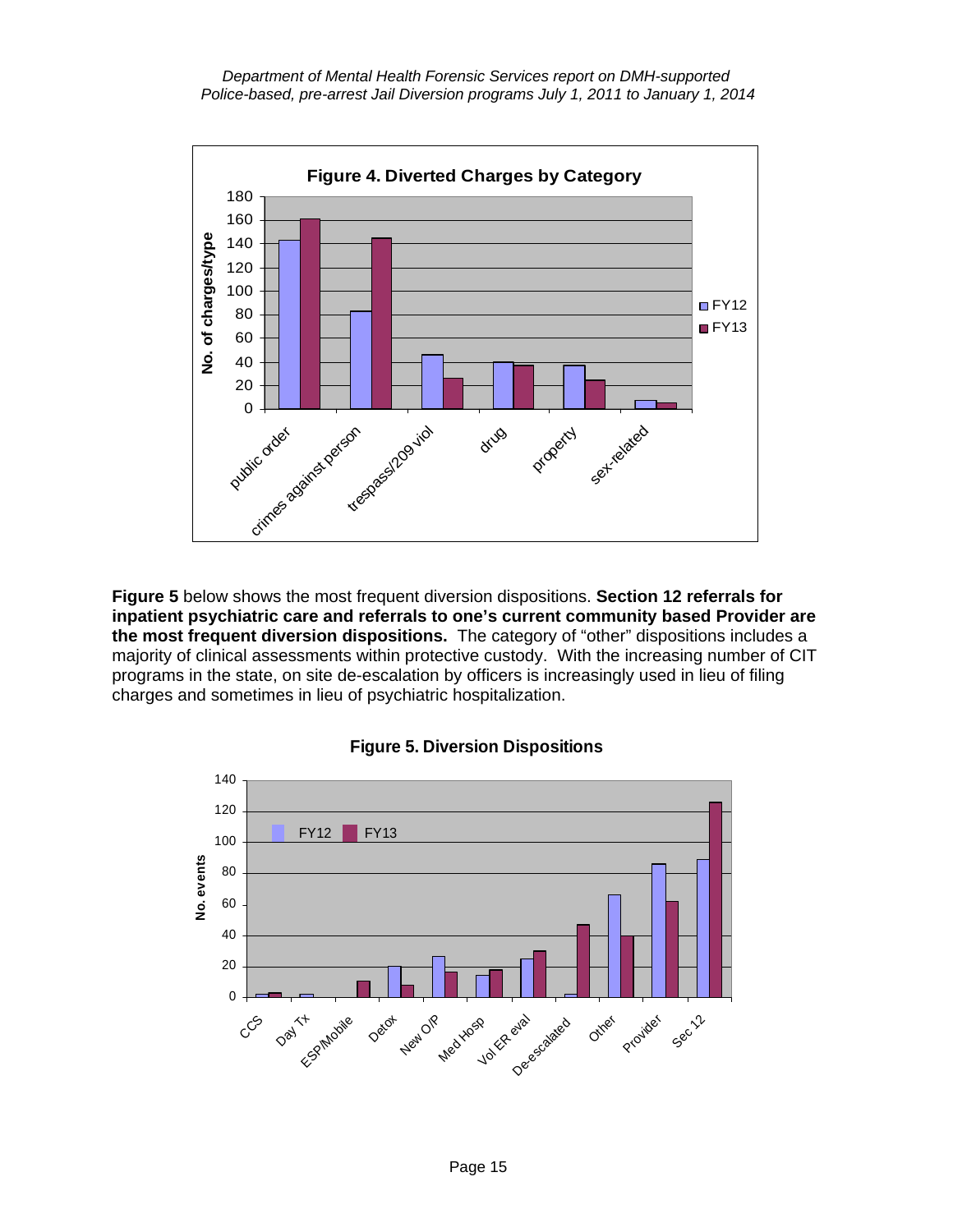*Department of Mental Health Forensic Services report on DMH-supported Police-based, pre-arrest Jail Diversion programs July 1, 2011 to January 1, 2014*



**Figure 5** below shows the most frequent diversion dispositions. **Section 12 referrals for inpatient psychiatric care and referrals to one's current community based Provider are the most frequent diversion dispositions.** The category of "other" dispositions includes a majority of clinical assessments within protective custody. With the increasing number of CIT programs in the state, on site de-escalation by officers is increasingly used in lieu of filing charges and sometimes in lieu of psychiatric hospitalization.



#### **Figure 5. Diversion Dispositions**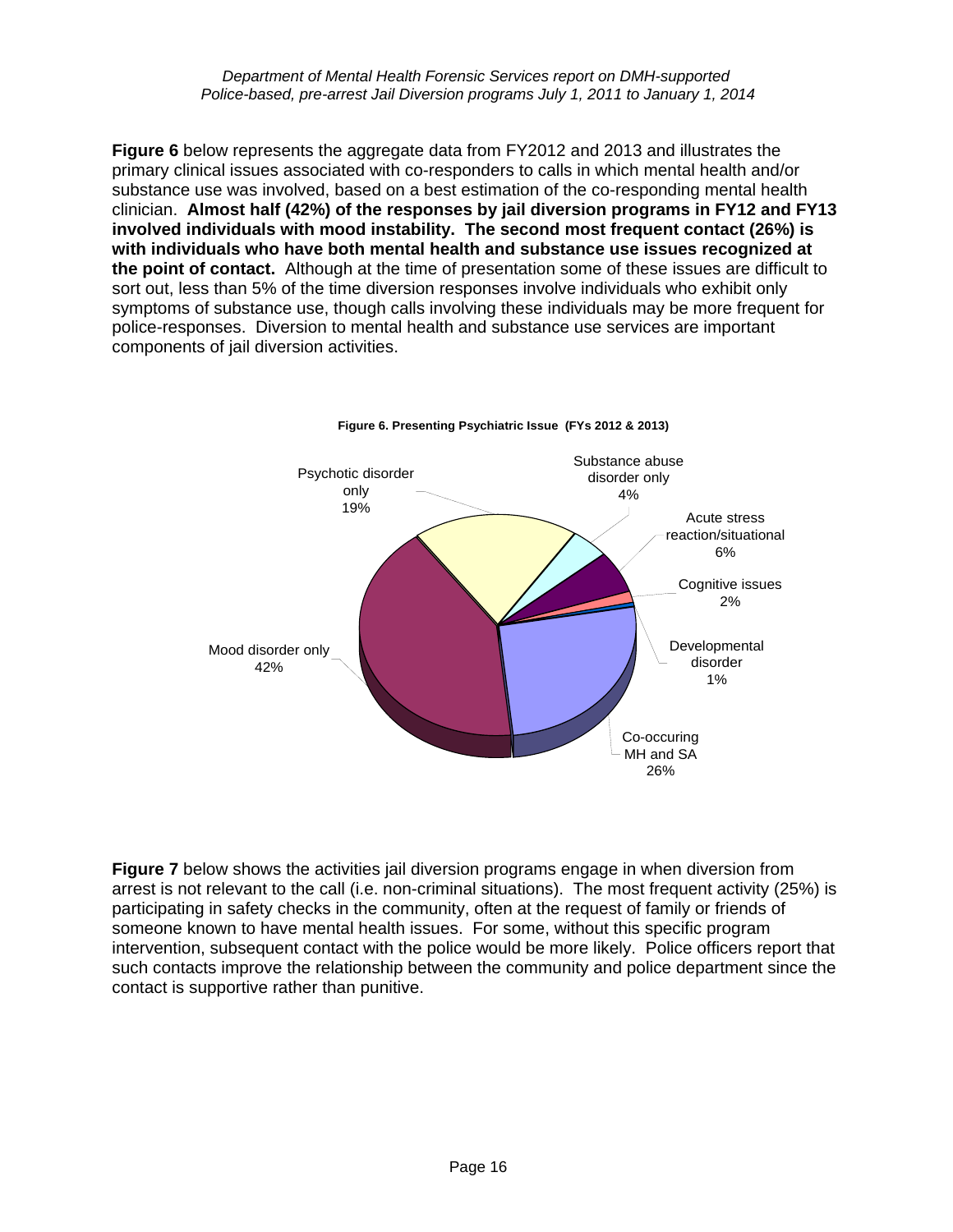*Department of Mental Health Forensic Services report on DMH-supported Police-based, pre-arrest Jail Diversion programs July 1, 2011 to January 1, 2014*

**Figure 6** below represents the aggregate data from FY2012 and 2013 and illustrates the primary clinical issues associated with co-responders to calls in which mental health and/or substance use was involved, based on a best estimation of the co-responding mental health clinician. **Almost half (42%) of the responses by jail diversion programs in FY12 and FY13 involved individuals with mood instability. The second most frequent contact (26%) is with individuals who have both mental health and substance use issues recognized at the point of contact.** Although at the time of presentation some of these issues are difficult to sort out, less than 5% of the time diversion responses involve individuals who exhibit only symptoms of substance use, though calls involving these individuals may be more frequent for police-responses. Diversion to mental health and substance use services are important components of jail diversion activities.



#### **Figure 6. Presenting Psychiatric Issue (FYs 2012 & 2013)**

**Figure 7** below shows the activities jail diversion programs engage in when diversion from arrest is not relevant to the call (i.e. non-criminal situations). The most frequent activity (25%) is participating in safety checks in the community, often at the request of family or friends of someone known to have mental health issues. For some, without this specific program intervention, subsequent contact with the police would be more likely. Police officers report that such contacts improve the relationship between the community and police department since the contact is supportive rather than punitive.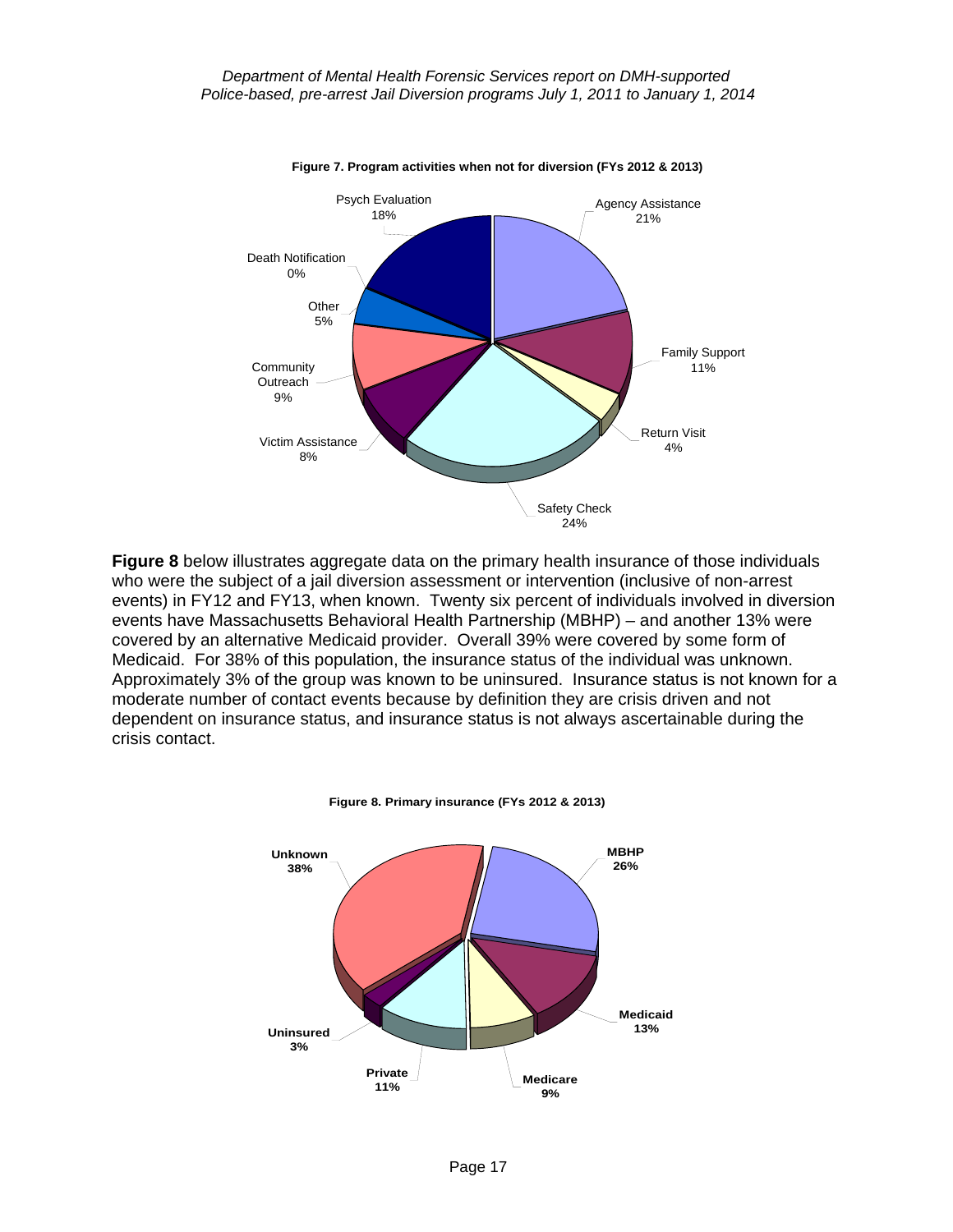

**Figure 8** below illustrates aggregate data on the primary health insurance of those individuals who were the subject of a jail diversion assessment or intervention (inclusive of non-arrest events) in FY12 and FY13, when known. Twenty six percent of individuals involved in diversion events have Massachusetts Behavioral Health Partnership (MBHP) – and another 13% were covered by an alternative Medicaid provider. Overall 39% were covered by some form of Medicaid. For 38% of this population, the insurance status of the individual was unknown. Approximately 3% of the group was known to be uninsured. Insurance status is not known for a moderate number of contact events because by definition they are crisis driven and not dependent on insurance status, and insurance status is not always ascertainable during the crisis contact.



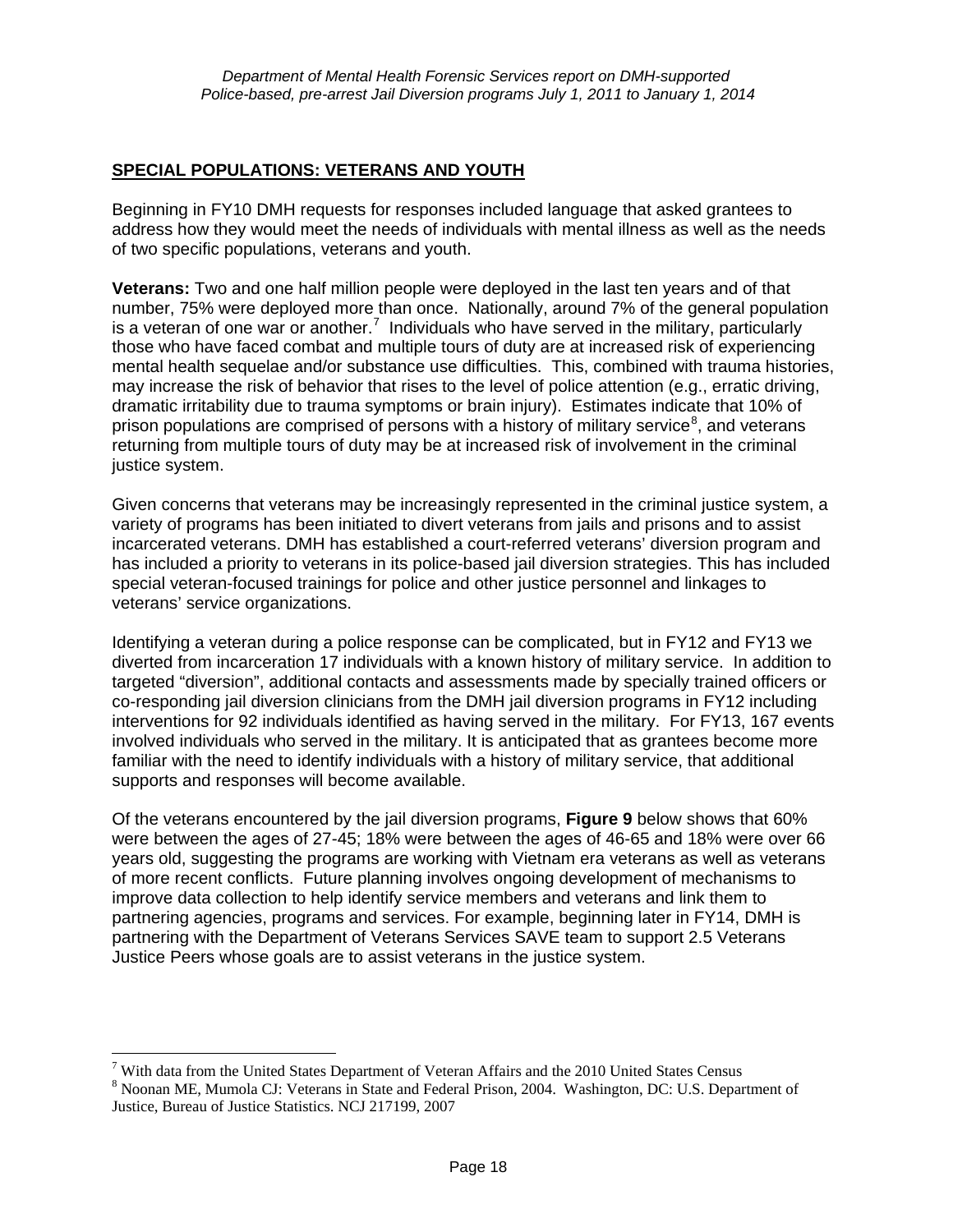#### **SPECIAL POPULATIONS: VETERANS AND YOUTH**

Beginning in FY10 DMH requests for responses included language that asked grantees to address how they would meet the needs of individuals with mental illness as well as the needs of two specific populations, veterans and youth.

**Veterans:** Two and one half million people were deployed in the last ten years and of that number, 75% were deployed more than once. Nationally, around 7% of the general population is a veteran of one war or another.<sup>[7](#page-4-0)</sup> Individuals who have served in the military, particularly those who have faced combat and multiple tours of duty are at increased risk of experiencing mental health sequelae and/or substance use difficulties. This, combined with trauma histories, may increase the risk of behavior that rises to the level of police attention (e.g., erratic driving, dramatic irritability due to trauma symptoms or brain injury). Estimates indicate that 10% of prison populations are comprised of persons with a history of military service<sup>[8](#page-17-0)</sup>, and veterans returning from multiple tours of duty may be at increased risk of involvement in the criminal justice system.

Given concerns that veterans may be increasingly represented in the criminal justice system, a variety of programs has been initiated to divert veterans from jails and prisons and to assist incarcerated veterans. DMH has established a court-referred veterans' diversion program and has included a priority to veterans in its police-based jail diversion strategies. This has included special veteran-focused trainings for police and other justice personnel and linkages to veterans' service organizations.

Identifying a veteran during a police response can be complicated, but in FY12 and FY13 we diverted from incarceration 17 individuals with a known history of military service. In addition to targeted "diversion", additional contacts and assessments made by specially trained officers or co-responding jail diversion clinicians from the DMH jail diversion programs in FY12 including interventions for 92 individuals identified as having served in the military. For FY13, 167 events involved individuals who served in the military. It is anticipated that as grantees become more familiar with the need to identify individuals with a history of military service, that additional supports and responses will become available.

Of the veterans encountered by the jail diversion programs, **Figure 9** below shows that 60% were between the ages of 27-45; 18% were between the ages of 46-65 and 18% were over 66 years old, suggesting the programs are working with Vietnam era veterans as well as veterans of more recent conflicts. Future planning involves ongoing development of mechanisms to improve data collection to help identify service members and veterans and link them to partnering agencies, programs and services. For example, beginning later in FY14, DMH is partnering with the Department of Veterans Services SAVE team to support 2.5 Veterans Justice Peers whose goals are to assist veterans in the justice system.

 $\overline{a}$ 

<span id="page-17-1"></span>With data from the United States Department of Veteran Affairs and the 2010 United States Census<br> $^{8}$  Neonan ME Mumole CL Veterans in State and Eadaml Drison 2004. Weshington, DC: U.S. Depart

<span id="page-17-0"></span><sup>&</sup>lt;sup>8</sup> Noonan ME, Mumola CJ: Veterans in State and Federal Prison, 2004. Washington, DC: U.S. Department of Justice, Bureau of Justice Statistics. NCJ 217199, 2007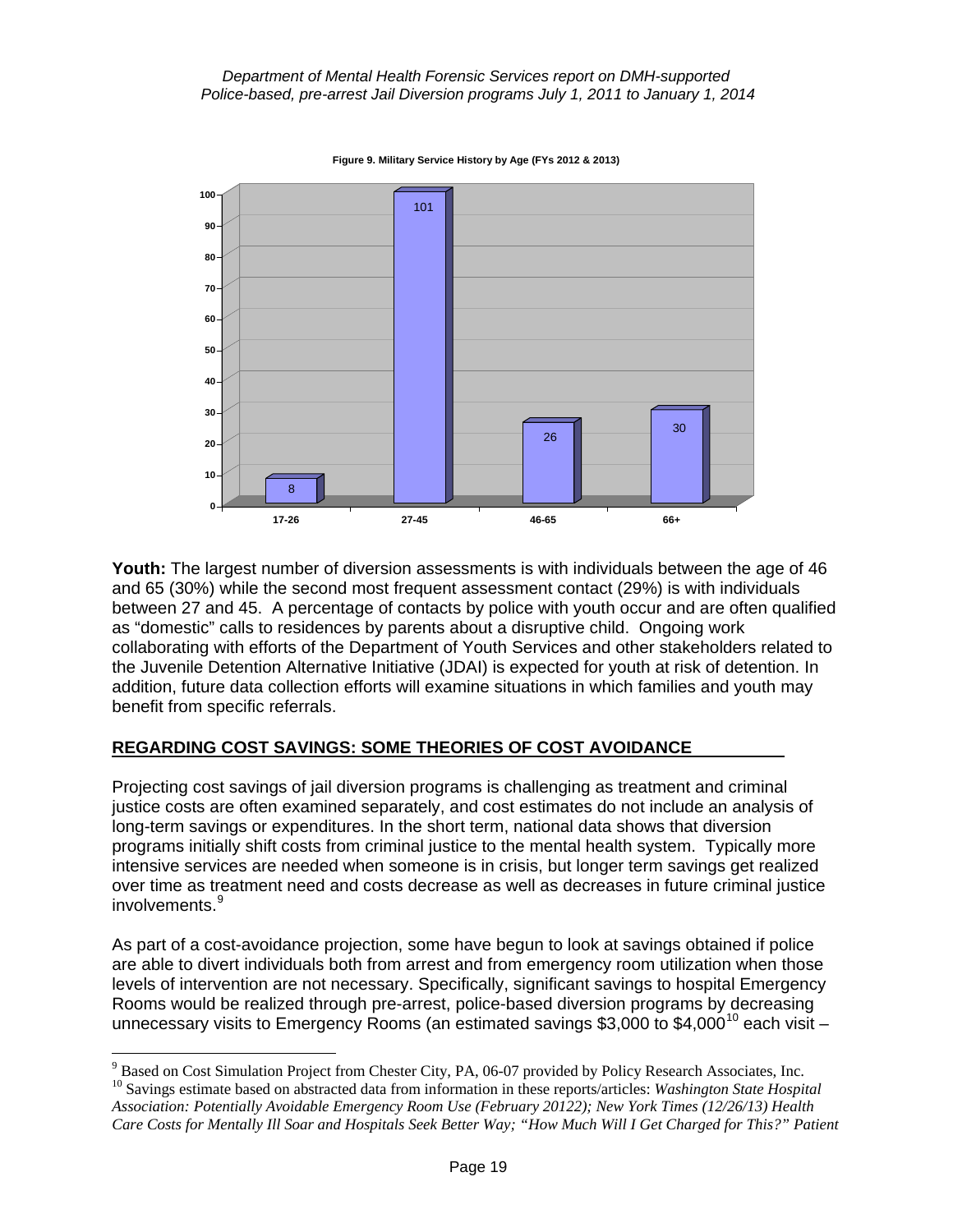**Figure 9. Military Service History by Age (FYs 2012 & 2013)**



**Youth:** The largest number of diversion assessments is with individuals between the age of 46 and 65 (30%) while the second most frequent assessment contact (29%) is with individuals between 27 and 45. A percentage of contacts by police with youth occur and are often qualified as "domestic" calls to residences by parents about a disruptive child. Ongoing work collaborating with efforts of the Department of Youth Services and other stakeholders related to the Juvenile Detention Alternative Initiative (JDAI) is expected for youth at risk of detention. In addition, future data collection efforts will examine situations in which families and youth may benefit from specific referrals.

## **REGARDING COST SAVINGS: SOME THEORIES OF COST AVOIDANCE**

Projecting cost savings of jail diversion programs is challenging as treatment and criminal justice costs are often examined separately, and cost estimates do not include an analysis of long-term savings or expenditures. In the short term, national data shows that diversion programs initially shift costs from criminal justice to the mental health system. Typically more intensive services are needed when someone is in crisis, but longer term savings get realized over time as treatment need and costs decrease as well as decreases in future criminal justice involvements.<sup>[9](#page-17-1)</sup>

As part of a cost-avoidance projection, some have begun to look at savings obtained if police are able to divert individuals both from arrest and from emergency room utilization when those levels of intervention are not necessary. Specifically, significant savings to hospital Emergency Rooms would be realized through pre-arrest, police-based diversion programs by decreasing unnecessary visits to Emergency Rooms (an estimated savings \$3,000 to \$4,000<sup>10</sup> each visit –

<sup>-&</sup>lt;br>9

<span id="page-18-1"></span><span id="page-18-0"></span> $^{10}$  Savings estimate based on abstracted data from information in these reports/articles: *Washington State Hospital Association: Potentially Avoidable Emergency Room Use (February 20122); New York Times (12/26/13) Health Care Costs for Mentally Ill Soar and Hospitals Seek Better Way; "How Much Will I Get Charged for This?" Patient*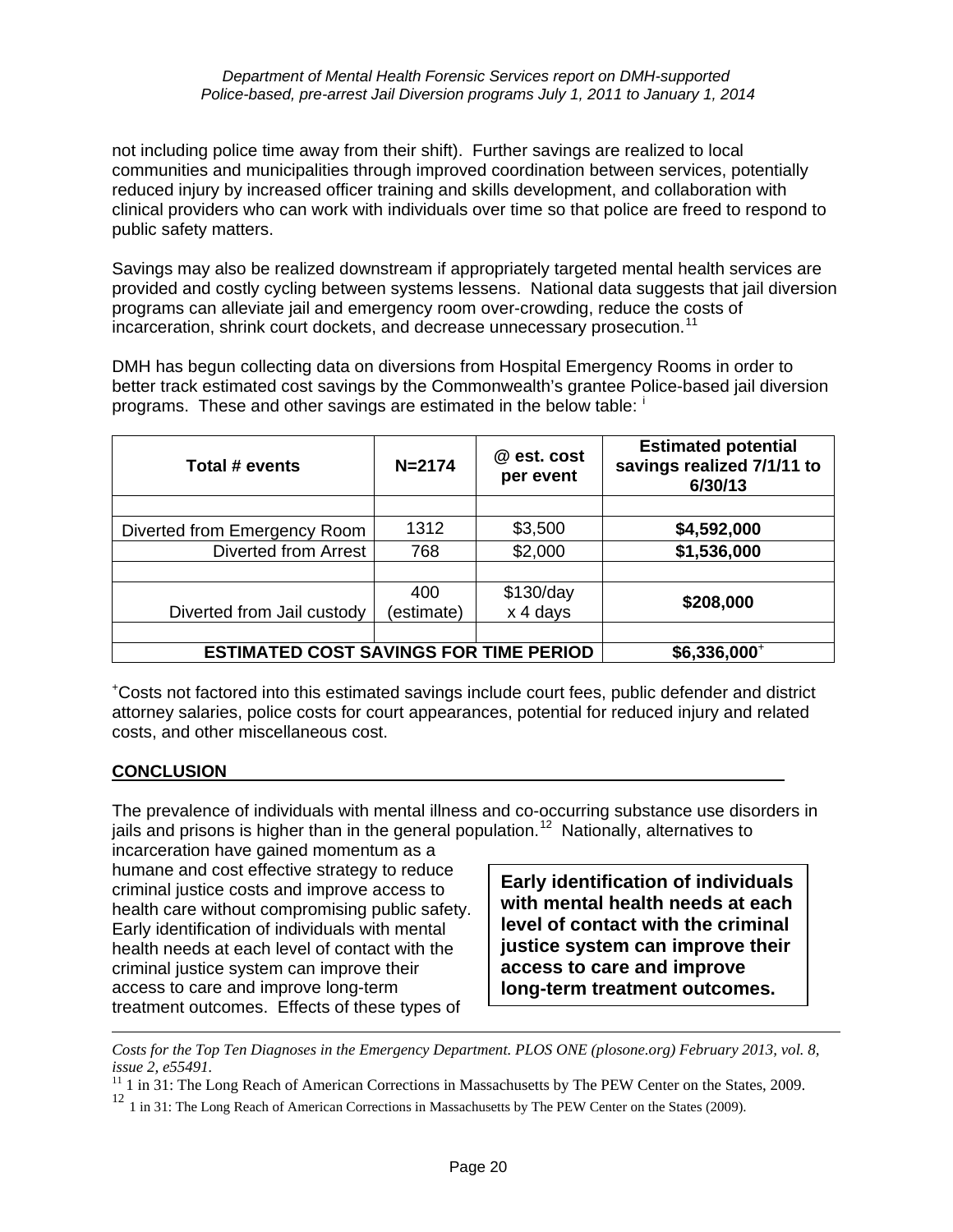#### *Department of Mental Health Forensic Services report on DMH-supported Police-based, pre-arrest Jail Diversion programs July 1, 2011 to January 1, 2014*

not including police time away from their shift). Further savings are realized to local communities and municipalities through improved coordination between services, potentially reduced injury by increased officer training and skills development, and collaboration with clinical providers who can work with individuals over time so that police are freed to respond to public safety matters.

Savings may also be realized downstream if appropriately targeted mental health services are provided and costly cycling between systems lessens. National data suggests that jail diversion programs can alleviate jail and emergency room over-crowding, reduce the costs of incarceration, shrink court dockets, and decrease unnecessary prosecution.<sup>[11](#page-18-1)</sup>

DMH has begun collecting data on diversions from Hospital Emergency Rooms in order to better track estimated cost savings by the Commonwealth's grantee Police-based jail diversion programs. These and other sav[i](#page-20-1)ngs are estimated in the below table:  $\frac{1}{1}$ 

| Total # events                                | $N = 2174$ | @ est. cost<br>per event | <b>Estimated potential</b><br>savings realized 7/1/11 to<br>6/30/13 |
|-----------------------------------------------|------------|--------------------------|---------------------------------------------------------------------|
|                                               |            |                          |                                                                     |
| Diverted from Emergency Room                  | 1312       | \$3,500                  | \$4,592,000                                                         |
| <b>Diverted from Arrest</b>                   | 768        | \$2,000                  | \$1,536,000                                                         |
|                                               |            |                          |                                                                     |
|                                               | 400        | \$130/day                | \$208,000                                                           |
| Diverted from Jail custody                    | (estimate) | x 4 days                 |                                                                     |
|                                               |            |                          |                                                                     |
| <b>ESTIMATED COST SAVINGS FOR TIME PERIOD</b> |            |                          | \$6,336,000+                                                        |

+ Costs not factored into this estimated savings include court fees, public defender and district attorney salaries, police costs for court appearances, potential for reduced injury and related costs, and other miscellaneous cost.

#### **CONCLUSION**

 $\overline{a}$ 

The prevalence of individuals with mental illness and co-occurring substance use disorders in jails and prisons is higher than in the general population.<sup>12</sup> Nationally, alternatives to

incarceration have gained momentum as a humane and cost effective strategy to reduce criminal justice costs and improve access to health care without compromising public safety. Early identification of individuals with mental health needs at each level of contact with the criminal justice system can improve their access to care and improve long-term treatment outcomes. Effects of these types of

**Early identification of individuals with mental health needs at each level of contact with the criminal justice system can improve their access to care and improve long-term treatment outcomes.**

*Costs for the Top Ten Diagnoses in the Emergency Department. PLOS ONE (plosone.org) February 2013, vol. 8, issue 2, e55491.* 

 $11$  1 in 31: The Long Reach of American Corrections in Massachusetts by The PEW Center on the States, 2009.

<span id="page-19-0"></span><sup>&</sup>lt;sup>12</sup> 1 in 31: The Long Reach of American Corrections in Massachusetts by The PEW Center on the States (2009).